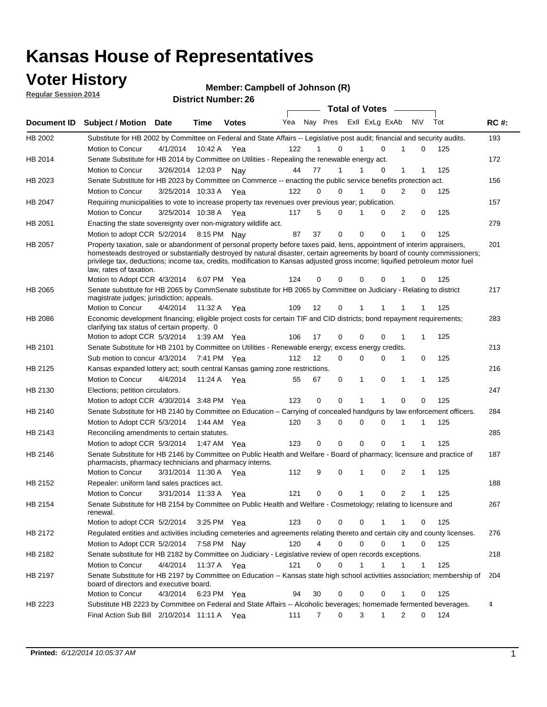### **Voter History**

**Regular Session 2014**

#### **Member: Campbell of Johnson (R)**

|             | <b>DISUILLINUIIIDEL.</b><br><b>Total of Votes</b>                                                                                                                                                                                                                                                                                                                                                                |                       |             |              |     |                   |        |  |                         |              |              |     |             |
|-------------|------------------------------------------------------------------------------------------------------------------------------------------------------------------------------------------------------------------------------------------------------------------------------------------------------------------------------------------------------------------------------------------------------------------|-----------------------|-------------|--------------|-----|-------------------|--------|--|-------------------------|--------------|--------------|-----|-------------|
| Document ID | <b>Subject / Motion Date</b>                                                                                                                                                                                                                                                                                                                                                                                     |                       | <b>Time</b> | <b>Votes</b> | Yea |                   |        |  | Nay Pres Exll ExLg ExAb |              | N\V          | Tot | <b>RC#:</b> |
| HB 2002     | Substitute for HB 2002 by Committee on Federal and State Affairs -- Legislative post audit; financial and security audits.                                                                                                                                                                                                                                                                                       |                       |             |              |     |                   |        |  |                         |              |              |     | 193         |
|             | Motion to Concur                                                                                                                                                                                                                                                                                                                                                                                                 | 4/1/2014              | 10:42 A     | Yea          | 122 |                   | 0      |  | $\Omega$                |              | 0            | 125 |             |
| HB 2014     | Senate Substitute for HB 2014 by Committee on Utilities - Repealing the renewable energy act.                                                                                                                                                                                                                                                                                                                    |                       |             |              |     |                   |        |  |                         |              |              |     | 172         |
|             | Motion to Concur                                                                                                                                                                                                                                                                                                                                                                                                 | 3/26/2014 12:03 P     |             | Nav          | 44  | 77                | 1      |  | 0                       | 1            | 1            | 125 |             |
| HB 2023     | Senate Substitute for HB 2023 by Committee on Commerce -- enacting the public service benefits protection act.                                                                                                                                                                                                                                                                                                   |                       |             |              |     |                   |        |  |                         |              |              |     | 156         |
|             | Motion to Concur                                                                                                                                                                                                                                                                                                                                                                                                 | 3/25/2014 10:33 A Yea |             |              | 122 | $\Omega$          | 0      |  | $\Omega$                | 2            | 0            | 125 |             |
| HB 2047     | Requiring municipalities to vote to increase property tax revenues over previous year; publication.                                                                                                                                                                                                                                                                                                              |                       |             |              |     |                   |        |  |                         |              |              |     | 157         |
|             | Motion to Concur                                                                                                                                                                                                                                                                                                                                                                                                 | 3/25/2014 10:38 A Yea |             |              | 117 | 5                 | 0      |  | 0                       | 2            | 0            | 125 |             |
| HB 2051     | Enacting the state sovereignty over non-migratory wildlife act.                                                                                                                                                                                                                                                                                                                                                  |                       |             |              |     |                   |        |  |                         |              |              |     | 279         |
|             | Motion to adopt CCR 5/2/2014 8:15 PM Nay                                                                                                                                                                                                                                                                                                                                                                         |                       |             |              | 87  | 37                | 0      |  | 0<br>0                  | -1           | 0            | 125 |             |
| HB 2057     | Property taxation, sale or abandonment of personal property before taxes paid, liens, appointment of interim appraisers,<br>homesteads destroyed or substantially destroyed by natural disaster, certain agreements by board of county commissioners;<br>privilege tax, deductions; income tax, credits, modification to Kansas adjusted gross income; liquified petroleum motor fuel<br>law, rates of taxation. |                       |             |              | 124 | 0                 | 0      |  | 0<br>0                  |              | 0            | 125 | 201         |
|             | Motion to Adopt CCR 4/3/2014                                                                                                                                                                                                                                                                                                                                                                                     |                       |             | 6:07 PM Yea  |     |                   |        |  |                         |              |              |     |             |
| HB 2065     | Senate substitute for HB 2065 by CommSenate substitute for HB 2065 by Committee on Judiciary - Relating to district<br>magistrate judges; jurisdiction; appeals.                                                                                                                                                                                                                                                 |                       |             |              |     |                   |        |  |                         |              |              |     | 217         |
|             | Motion to Concur                                                                                                                                                                                                                                                                                                                                                                                                 | 4/4/2014              | 11:32 A     | Yea          | 109 | 12                | 0      |  | 1<br>1                  | 1            |              | 125 |             |
| HB 2086     | Economic development financing; eligible project costs for certain TIF and CID districts; bond repayment requirements;<br>clarifying tax status of certain property. 0                                                                                                                                                                                                                                           |                       |             |              |     |                   |        |  |                         |              |              |     | 283         |
|             | Motion to adopt CCR 5/3/2014                                                                                                                                                                                                                                                                                                                                                                                     |                       | 1:39 AM Yea |              | 106 | 17                | 0      |  | 0<br>$\Omega$           | 1            | 1            | 125 |             |
| HB 2101     | Senate Substitute for HB 2101 by Committee on Utilities - Renewable energy; excess energy credits.                                                                                                                                                                                                                                                                                                               |                       |             |              |     |                   |        |  |                         |              |              |     | 213         |
|             | Sub motion to concur 4/3/2014                                                                                                                                                                                                                                                                                                                                                                                    |                       |             | 7:41 PM Yea  | 112 | $12 \overline{ }$ | 0      |  | 0<br>$\mathbf 0$        | $\mathbf{1}$ | 0            | 125 |             |
| HB 2125     | Kansas expanded lottery act; south central Kansas gaming zone restrictions.                                                                                                                                                                                                                                                                                                                                      |                       |             |              |     |                   |        |  |                         |              |              |     | 216         |
|             | Motion to Concur                                                                                                                                                                                                                                                                                                                                                                                                 | 4/4/2014              | 11:24 A     | Yea          | 55  | 67                | 0      |  | 1<br>0                  | $\mathbf{1}$ | $\mathbf{1}$ | 125 |             |
| HB 2130     | Elections; petition circulators.                                                                                                                                                                                                                                                                                                                                                                                 |                       |             |              |     |                   |        |  |                         |              |              |     | 247         |
|             | Motion to adopt CCR 4/30/2014 3:48 PM Yea                                                                                                                                                                                                                                                                                                                                                                        |                       |             |              | 123 | 0                 | 0      |  | 1                       | 0            | 0            | 125 |             |
| HB 2140     | Senate Substitute for HB 2140 by Committee on Education – Carrying of concealed handguns by law enforcement officers.                                                                                                                                                                                                                                                                                            |                       |             |              |     |                   |        |  |                         |              |              |     | 284         |
|             | Motion to Adopt CCR 5/3/2014                                                                                                                                                                                                                                                                                                                                                                                     |                       |             | 1:44 AM Yea  | 120 | 3                 | 0      |  | 0<br>0                  | -1           | 1            | 125 |             |
| HB 2143     | Reconciling amendments to certain statutes.                                                                                                                                                                                                                                                                                                                                                                      |                       |             |              |     |                   |        |  |                         |              |              |     | 285         |
|             | Motion to adopt CCR 5/3/2014                                                                                                                                                                                                                                                                                                                                                                                     |                       | 1:47 AM Yea |              | 123 | 0                 | 0      |  | 0<br>0                  | 1            | 1            | 125 |             |
| HB 2146     | Senate Substitute for HB 2146 by Committee on Public Health and Welfare - Board of pharmacy; licensure and practice of<br>pharmacists, pharmacy technicians and pharmacy interns.                                                                                                                                                                                                                                |                       |             |              |     |                   |        |  |                         |              |              |     | 187         |
|             | Motion to Concur                                                                                                                                                                                                                                                                                                                                                                                                 | 3/31/2014 11:30 A     |             | Yea          | 112 | 9                 | 0      |  | 0<br>1                  | 2            | 1            | 125 |             |
| HB 2152     | Repealer: uniform land sales practices act.                                                                                                                                                                                                                                                                                                                                                                      |                       |             |              |     |                   |        |  |                         |              |              |     | 188         |
|             | Motion to Concur                                                                                                                                                                                                                                                                                                                                                                                                 | 3/31/2014 11:33 A     |             | Yea          | 121 | 0                 | 0      |  | 1<br>0                  | 2            | 1            | 125 |             |
| HB 2154     | Senate Substitute for HB 2154 by Committee on Public Health and Welfare - Cosmetology; relating to licensure and<br>renewal.                                                                                                                                                                                                                                                                                     |                       |             |              |     |                   |        |  |                         |              |              |     | 267         |
|             | Motion to adopt CCR 5/2/2014                                                                                                                                                                                                                                                                                                                                                                                     |                       |             | 3:25 PM Yea  | 123 | 0                 | 0      |  | 0<br>1                  | -1           | 0            | 125 |             |
| HB 2172     | Regulated entities and activities including cemeteries and agreements relating thereto and certain city and county licenses.                                                                                                                                                                                                                                                                                     |                       |             |              |     |                   |        |  |                         |              |              |     | 276         |
|             | Motion to Adopt CCR 5/2/2014                                                                                                                                                                                                                                                                                                                                                                                     |                       |             | 7:58 PM Nay  | 120 |                   | 4<br>0 |  | 0<br>$\Omega$           | $\mathbf{1}$ | 0            | 125 |             |
| HB 2182     | Senate substitute for HB 2182 by Committee on Judiciary - Legislative review of open records exceptions.                                                                                                                                                                                                                                                                                                         |                       |             |              |     |                   |        |  |                         |              |              |     | 218         |
|             | Motion to Concur                                                                                                                                                                                                                                                                                                                                                                                                 | 4/4/2014              | 11:37 A Yea |              | 121 | 0                 | 0      |  | 1<br>1                  | $\mathbf{1}$ | $\mathbf{1}$ | 125 |             |
| HB 2197     | Senate Substitute for HB 2197 by Committee on Education -- Kansas state high school activities association; membership of<br>board of directors and executive board.                                                                                                                                                                                                                                             |                       |             |              |     |                   |        |  |                         |              |              |     | 204         |
|             | Motion to Concur                                                                                                                                                                                                                                                                                                                                                                                                 | 4/3/2014              |             | 6:23 PM Yea  | 94  | 30                | 0      |  | 0<br>0                  | 1            | 0            | 125 |             |
| HB 2223     | Substitute HB 2223 by Committee on Federal and State Affairs -- Alcoholic beverages; homemade fermented beverages.                                                                                                                                                                                                                                                                                               |                       |             |              |     |                   |        |  |                         |              |              |     | 4           |
|             | Final Action Sub Bill 2/10/2014 11:11 A Yea                                                                                                                                                                                                                                                                                                                                                                      |                       |             |              | 111 | 7                 | 0      |  | 3<br>1                  | 2            | 0            | 124 |             |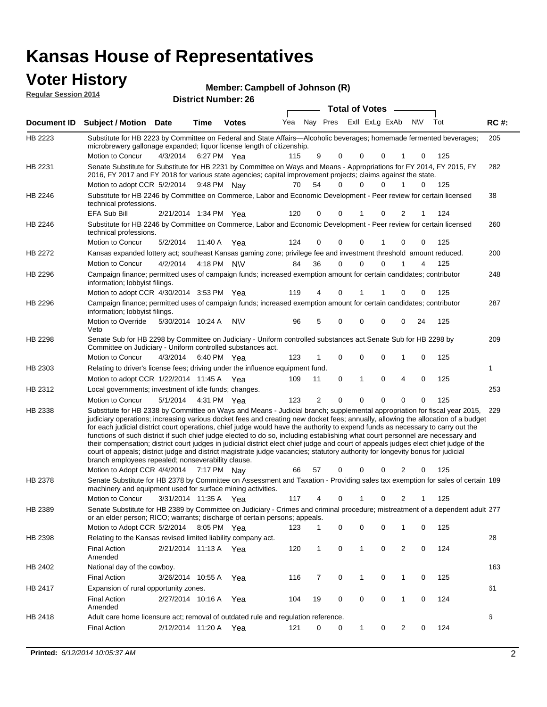## **Voter History**

| <b>VOTER HISTORY</b><br><b>Regular Session 2014</b> |                                                                                                                     |             |      | Member: Campbell of Johnson (R)<br><b>District Number: 26</b> |     |  |                                               |     |     |             |
|-----------------------------------------------------|---------------------------------------------------------------------------------------------------------------------|-------------|------|---------------------------------------------------------------|-----|--|-----------------------------------------------|-----|-----|-------------|
|                                                     |                                                                                                                     |             |      |                                                               | Yea |  | Total of Votes ___<br>Nay Pres ExII ExLg ExAb | N\V | Tot | <b>RC#:</b> |
|                                                     | Document ID Subject / Motion                                                                                        | <b>Date</b> | Time | <b>Votes</b>                                                  |     |  |                                               |     |     |             |
| HB 2223                                             | Substitute for HB 2223 by Committee on Federal and State Affairs—Alcoholic beverages: homemade fermented beverages: |             |      |                                                               |     |  |                                               |     |     | 205         |

| HB 2223        | Substitute for HB 2223 by Committee on Federal and State Affairs—Alcoholic beverages; homemade fermented beverages;<br>microbrewery gallonage expanded; liquor license length of citizenship.                                                                                                                                                                                                                                                                                                                                                                                                                                                                                                                                                                                                                                                                       |                       |             |           |     |                |             |              |   |                |             |     | 205 |
|----------------|---------------------------------------------------------------------------------------------------------------------------------------------------------------------------------------------------------------------------------------------------------------------------------------------------------------------------------------------------------------------------------------------------------------------------------------------------------------------------------------------------------------------------------------------------------------------------------------------------------------------------------------------------------------------------------------------------------------------------------------------------------------------------------------------------------------------------------------------------------------------|-----------------------|-------------|-----------|-----|----------------|-------------|--------------|---|----------------|-------------|-----|-----|
|                | Motion to Concur                                                                                                                                                                                                                                                                                                                                                                                                                                                                                                                                                                                                                                                                                                                                                                                                                                                    | 4/3/2014              | 6:27 PM Yea |           | 115 | 9              | 0           | 0            | 0 | 1              | 0           | 125 |     |
| HB 2231        | Senate Substitute for Substitute for HB 2231 by Committee on Ways and Means - Appropriations for FY 2014, FY 2015, FY<br>2016, FY 2017 and FY 2018 for various state agencies; capital improvement projects; claims against the state.<br>Motion to adopt CCR 5/2/2014 9:48 PM Nay                                                                                                                                                                                                                                                                                                                                                                                                                                                                                                                                                                                  |                       |             |           | 70  | 54             | $\Omega$    | 0            | 0 | $\mathbf{1}$   | 0           | 125 | 282 |
|                |                                                                                                                                                                                                                                                                                                                                                                                                                                                                                                                                                                                                                                                                                                                                                                                                                                                                     |                       |             |           |     |                |             |              |   |                |             |     | 38  |
| HB 2246        | Substitute for HB 2246 by Committee on Commerce, Labor and Economic Development - Peer review for certain licensed<br>technical professions.                                                                                                                                                                                                                                                                                                                                                                                                                                                                                                                                                                                                                                                                                                                        |                       |             |           |     |                |             |              |   |                |             |     |     |
|                | EFA Sub Bill                                                                                                                                                                                                                                                                                                                                                                                                                                                                                                                                                                                                                                                                                                                                                                                                                                                        | 2/21/2014 1:34 PM Yea |             |           | 120 | 0              | 0           |              | 0 | 2              |             | 124 |     |
| HB 2246        | Substitute for HB 2246 by Committee on Commerce, Labor and Economic Development - Peer review for certain licensed<br>technical professions.                                                                                                                                                                                                                                                                                                                                                                                                                                                                                                                                                                                                                                                                                                                        |                       |             |           |     |                |             |              |   |                |             |     | 260 |
|                | Motion to Concur                                                                                                                                                                                                                                                                                                                                                                                                                                                                                                                                                                                                                                                                                                                                                                                                                                                    | 5/2/2014              | 11:40 A Yea |           | 124 | 0              | 0           | 0            | 1 | 0              | 0           | 125 |     |
| <b>HB 2272</b> | Kansas expanded lottery act; southeast Kansas gaming zone; privilege fee and investment threshold amount reduced.                                                                                                                                                                                                                                                                                                                                                                                                                                                                                                                                                                                                                                                                                                                                                   |                       |             |           |     |                |             |              |   |                |             |     | 200 |
|                | Motion to Concur                                                                                                                                                                                                                                                                                                                                                                                                                                                                                                                                                                                                                                                                                                                                                                                                                                                    | 4/2/2014              | 4:18 PM N\V |           | 84  | 36             | 0           | 0            | 0 |                | 4           | 125 |     |
| HB 2296        | Campaign finance; permitted uses of campaign funds; increased exemption amount for certain candidates; contributor<br>information; lobbyist filings.                                                                                                                                                                                                                                                                                                                                                                                                                                                                                                                                                                                                                                                                                                                |                       |             |           |     |                |             |              |   |                |             |     | 248 |
|                | Motion to adopt CCR 4/30/2014 3:53 PM Yea                                                                                                                                                                                                                                                                                                                                                                                                                                                                                                                                                                                                                                                                                                                                                                                                                           |                       |             |           | 119 | 4              | 0           |              | 1 | 0              | 0           | 125 |     |
| HB 2296        | Campaign finance; permitted uses of campaign funds; increased exemption amount for certain candidates; contributor<br>information; lobbyist filings.                                                                                                                                                                                                                                                                                                                                                                                                                                                                                                                                                                                                                                                                                                                |                       |             |           |     |                |             |              |   |                |             |     | 287 |
|                | Motion to Override<br>Veto                                                                                                                                                                                                                                                                                                                                                                                                                                                                                                                                                                                                                                                                                                                                                                                                                                          | 5/30/2014 10:24 A     |             | <b>NV</b> | 96  | 5              | $\mathbf 0$ | 0            | 0 | 0              | 24          | 125 |     |
| HB 2298        | Senate Sub for HB 2298 by Committee on Judiciary - Uniform controlled substances act. Senate Sub for HB 2298 by<br>Committee on Judiciary - Uniform controlled substances act.                                                                                                                                                                                                                                                                                                                                                                                                                                                                                                                                                                                                                                                                                      |                       |             |           |     |                |             |              |   |                |             |     | 209 |
|                | Motion to Concur                                                                                                                                                                                                                                                                                                                                                                                                                                                                                                                                                                                                                                                                                                                                                                                                                                                    | 4/3/2014              | 6:40 PM Yea |           | 123 | 1              | 0           | 0            | 0 | 1              | 0           | 125 |     |
| HB 2303        | Relating to driver's license fees; driving under the influence equipment fund.                                                                                                                                                                                                                                                                                                                                                                                                                                                                                                                                                                                                                                                                                                                                                                                      |                       |             |           |     |                |             |              |   |                |             |     | 1   |
|                | Motion to adopt CCR 1/22/2014 11:45 A Yea                                                                                                                                                                                                                                                                                                                                                                                                                                                                                                                                                                                                                                                                                                                                                                                                                           |                       |             |           | 109 | 11             | 0           | 1            | 0 | 4              | 0           | 125 |     |
| HB 2312        | Local governments; investment of idle funds; changes.                                                                                                                                                                                                                                                                                                                                                                                                                                                                                                                                                                                                                                                                                                                                                                                                               |                       |             |           |     |                |             |              |   |                |             |     | 253 |
|                | Motion to Concur                                                                                                                                                                                                                                                                                                                                                                                                                                                                                                                                                                                                                                                                                                                                                                                                                                                    | 5/1/2014              | 4:31 PM Yea |           | 123 | $\overline{2}$ | $\mathbf 0$ | $\mathbf 0$  | 0 | $\mathbf 0$    | $\mathbf 0$ | 125 |     |
| HB 2338        | Substitute for HB 2338 by Committee on Ways and Means - Judicial branch; supplemental appropriation for fiscal year 2015,<br>judiciary operations; increasing various docket fees and creating new docket fees; annually, allowing the allocation of a budget<br>for each judicial district court operations, chief judge would have the authority to expend funds as necessary to carry out the<br>functions of such district if such chief judge elected to do so, including establishing what court personnel are necessary and<br>their compensation; district court judges in judicial district elect chief judge and court of appeals judges elect chief judge of the<br>court of appeals; district judge and district magistrate judge vacancies; statutory authority for longevity bonus for judicial<br>branch employees repealed; nonseverability clause. |                       |             |           |     |                |             |              |   |                |             |     | 229 |
|                | Motion to Adopt CCR 4/4/2014                                                                                                                                                                                                                                                                                                                                                                                                                                                                                                                                                                                                                                                                                                                                                                                                                                        |                       | 7:17 PM Nay |           | 66  | 57             | 0           | $\Omega$     | 0 | 2              | 0           | 125 |     |
| HB 2378        | Senate Substitute for HB 2378 by Committee on Assessment and Taxation - Providing sales tax exemption for sales of certain 189<br>machinery and equipment used for surface mining activities.                                                                                                                                                                                                                                                                                                                                                                                                                                                                                                                                                                                                                                                                       |                       |             |           |     |                |             |              |   |                |             |     |     |
|                | Motion to Concur                                                                                                                                                                                                                                                                                                                                                                                                                                                                                                                                                                                                                                                                                                                                                                                                                                                    | 3/31/2014 11:35 A Yea |             |           | 117 | 4              | 0           |              | 0 | 2              |             | 125 |     |
| HB 2389        | Senate Substitute for HB 2389 by Committee on Judiciary - Crimes and criminal procedure; mistreatment of a dependent adult 277<br>or an elder person; RICO; warrants; discharge of certain persons; appeals.<br>Motion to Adopt CCR 5/2/2014 8:05 PM Yea                                                                                                                                                                                                                                                                                                                                                                                                                                                                                                                                                                                                            |                       |             |           |     | $\mathbf{1}$   |             |              |   |                |             |     |     |
|                |                                                                                                                                                                                                                                                                                                                                                                                                                                                                                                                                                                                                                                                                                                                                                                                                                                                                     |                       |             |           | 123 |                | 0           | 0            | 0 | 1              | 0           | 125 |     |
| HB 2398        | Relating to the Kansas revised limited liability company act.                                                                                                                                                                                                                                                                                                                                                                                                                                                                                                                                                                                                                                                                                                                                                                                                       |                       |             |           |     |                |             |              |   |                |             |     | 28  |
|                | <b>Final Action</b><br>Amended                                                                                                                                                                                                                                                                                                                                                                                                                                                                                                                                                                                                                                                                                                                                                                                                                                      | 2/21/2014 11:13 A Yea |             |           | 120 | 1              | 0           | 1            | 0 | 2              | 0           | 124 |     |
| HB 2402        | National day of the cowboy.                                                                                                                                                                                                                                                                                                                                                                                                                                                                                                                                                                                                                                                                                                                                                                                                                                         |                       |             |           |     |                |             |              |   |                |             |     | 163 |
|                | <b>Final Action</b>                                                                                                                                                                                                                                                                                                                                                                                                                                                                                                                                                                                                                                                                                                                                                                                                                                                 | 3/26/2014 10:55 A     |             | Yea       | 116 | 7              | 0           | $\mathbf{1}$ | 0 | $\mathbf{1}$   | 0           | 125 |     |
| HB 2417        | Expansion of rural opportunity zones.                                                                                                                                                                                                                                                                                                                                                                                                                                                                                                                                                                                                                                                                                                                                                                                                                               |                       |             |           |     |                |             |              |   |                |             |     | 61  |
|                | <b>Final Action</b><br>Amended                                                                                                                                                                                                                                                                                                                                                                                                                                                                                                                                                                                                                                                                                                                                                                                                                                      | 2/27/2014 10:16 A Yea |             |           | 104 | 19             | 0           | 0            | 0 | $\mathbf{1}$   | 0           | 124 |     |
| HB 2418        | Adult care home licensure act; removal of outdated rule and regulation reference.                                                                                                                                                                                                                                                                                                                                                                                                                                                                                                                                                                                                                                                                                                                                                                                   |                       |             |           |     |                |             |              |   |                |             |     | 6   |
|                | <b>Final Action</b>                                                                                                                                                                                                                                                                                                                                                                                                                                                                                                                                                                                                                                                                                                                                                                                                                                                 | 2/12/2014 11:20 A Yea |             |           | 121 | 0              | 0           | 1            | 0 | $\overline{2}$ | 0           | 124 |     |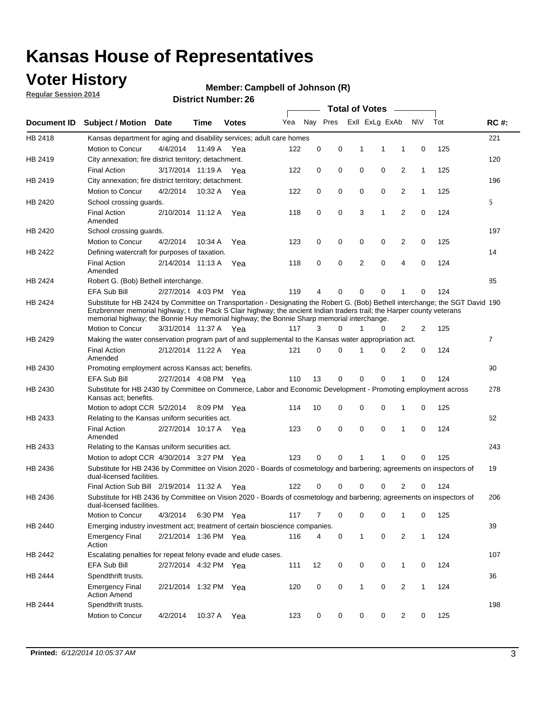## **Voter History**

**Regular Session 2014**

#### **Member: Campbell of Johnson (R)**

|                    |                                                                                                                                                                                                                                                                                                                                                      |                       |             | DISTRICT MAILING 1. 20 |     |          |             | <b>Total of Votes</b> |             |                |              |     |                |
|--------------------|------------------------------------------------------------------------------------------------------------------------------------------------------------------------------------------------------------------------------------------------------------------------------------------------------------------------------------------------------|-----------------------|-------------|------------------------|-----|----------|-------------|-----------------------|-------------|----------------|--------------|-----|----------------|
| <b>Document ID</b> | <b>Subject / Motion</b>                                                                                                                                                                                                                                                                                                                              | <b>Date</b>           | Time        | <b>Votes</b>           | Yea |          | Nay Pres    | Exll ExLg ExAb        |             |                | <b>NV</b>    | Tot | <b>RC#:</b>    |
| HB 2418            | Kansas department for aging and disability services; adult care homes                                                                                                                                                                                                                                                                                |                       |             |                        |     |          |             |                       |             |                |              |     | 221            |
|                    | Motion to Concur                                                                                                                                                                                                                                                                                                                                     | 4/4/2014              | 11:49 A     | Yea                    | 122 | 0        | 0           | 1                     | 1           | 1              | 0            | 125 |                |
| HB 2419            | City annexation; fire district territory; detachment.                                                                                                                                                                                                                                                                                                |                       |             |                        |     |          |             |                       |             |                |              |     | 120            |
|                    | <b>Final Action</b>                                                                                                                                                                                                                                                                                                                                  | 3/17/2014 11:19 A Yea |             |                        | 122 | 0        | 0           | 0                     | 0           | $\overline{2}$ | 1            | 125 |                |
| HB 2419            | City annexation; fire district territory; detachment.                                                                                                                                                                                                                                                                                                |                       |             |                        |     |          |             |                       |             |                |              |     | 196            |
|                    | Motion to Concur                                                                                                                                                                                                                                                                                                                                     | 4/2/2014              | 10:32 A Yea |                        | 122 | 0        | 0           | 0                     | 0           | $\overline{2}$ | 1            | 125 |                |
| HB 2420            | School crossing guards.                                                                                                                                                                                                                                                                                                                              |                       |             |                        |     |          |             |                       |             |                |              |     | 5              |
|                    | <b>Final Action</b><br>Amended                                                                                                                                                                                                                                                                                                                       | 2/10/2014 11:12 A     |             | Yea                    | 118 | 0        | $\mathbf 0$ | 3                     | 1           | $\overline{2}$ | $\mathbf 0$  | 124 |                |
| HB 2420            | School crossing guards.                                                                                                                                                                                                                                                                                                                              |                       |             |                        |     |          |             |                       |             |                |              |     | 197            |
|                    | Motion to Concur                                                                                                                                                                                                                                                                                                                                     | 4/2/2014              | 10:34 A     | Yea                    | 123 | 0        | 0           | 0                     | 0           | $\overline{2}$ | 0            | 125 |                |
| HB 2422            | Defining watercraft for purposes of taxation.                                                                                                                                                                                                                                                                                                        |                       |             |                        |     |          |             |                       |             |                |              |     | 14             |
|                    | <b>Final Action</b><br>Amended                                                                                                                                                                                                                                                                                                                       | 2/14/2014 11:13 A     |             | Yea                    | 118 | 0        | 0           | $\overline{2}$        | $\mathbf 0$ | $\overline{4}$ | 0            | 124 |                |
| HB 2424            | Robert G. (Bob) Bethell interchange.                                                                                                                                                                                                                                                                                                                 |                       |             |                        |     |          |             |                       |             |                |              |     | 85             |
|                    | <b>EFA Sub Bill</b>                                                                                                                                                                                                                                                                                                                                  | 2/27/2014 4:03 PM Yea |             |                        | 119 | 4        | 0           | 0                     | 0           | 1              | 0            | 124 |                |
| HB 2424            | Substitute for HB 2424 by Committee on Transportation - Designating the Robert G. (Bob) Bethell interchange; the SGT David 190<br>Enzbrenner memorial highway; t the Pack S Clair highway; the ancient Indian traders trail; the Harper county veterans<br>memorial highway; the Bonnie Huy memorial highway; the Bonnie Sharp memorial interchange. |                       |             |                        |     |          |             |                       |             |                |              |     |                |
|                    | Motion to Concur                                                                                                                                                                                                                                                                                                                                     | 3/31/2014 11:37 A Yea |             |                        | 117 | 3        | $\Omega$    | 1                     | 0           | 2              | 2            | 125 |                |
| HB 2429            | Making the water conservation program part of and supplemental to the Kansas water appropriation act.                                                                                                                                                                                                                                                |                       |             |                        |     |          |             |                       |             |                |              |     | $\overline{7}$ |
|                    | <b>Final Action</b><br>Amended                                                                                                                                                                                                                                                                                                                       | 2/12/2014 11:22 A Yea |             |                        | 121 | $\Omega$ | $\Omega$    | 1                     | 0           | $\overline{2}$ | 0            | 124 |                |
| HB 2430            | Promoting employment across Kansas act; benefits.                                                                                                                                                                                                                                                                                                    |                       |             |                        |     |          |             |                       |             |                |              |     | 90             |
|                    | <b>EFA Sub Bill</b>                                                                                                                                                                                                                                                                                                                                  | 2/27/2014 4:08 PM Yea |             |                        | 110 | 13       | 0           | 0                     | 0           |                | 0            | 124 |                |
| HB 2430            | Substitute for HB 2430 by Committee on Commerce, Labor and Economic Development - Promoting employment across<br>Kansas act; benefits.                                                                                                                                                                                                               |                       |             |                        |     |          |             |                       |             |                |              |     | 278            |
|                    | Motion to adopt CCR 5/2/2014                                                                                                                                                                                                                                                                                                                         |                       | 8:09 PM Yea |                        | 114 | 10       | 0           | 0                     | 0           | 1              | 0            | 125 |                |
| HB 2433            | Relating to the Kansas uniform securities act.                                                                                                                                                                                                                                                                                                       |                       |             |                        |     |          |             |                       |             |                |              |     | 62             |
|                    | <b>Final Action</b><br>Amended                                                                                                                                                                                                                                                                                                                       | 2/27/2014 10:17 A Yea |             |                        | 123 | 0        | 0           | $\mathbf 0$           | 0           | 1              | $\mathbf 0$  | 124 |                |
| HB 2433            | Relating to the Kansas uniform securities act.                                                                                                                                                                                                                                                                                                       |                       |             |                        |     |          |             |                       |             |                |              |     | 243            |
|                    | Motion to adopt CCR 4/30/2014 3:27 PM Yea                                                                                                                                                                                                                                                                                                            |                       |             |                        | 123 | $\Omega$ | $\Omega$    | 1                     | 1           | $\Omega$       | 0            | 125 |                |
| HB 2436            | Substitute for HB 2436 by Committee on Vision 2020 - Boards of cosmetology and barbering; agreements on inspectors of<br>dual-licensed facilities.                                                                                                                                                                                                   |                       |             |                        |     |          |             |                       |             |                |              |     | 19             |
|                    | Final Action Sub Bill 2/19/2014 11:32 A                                                                                                                                                                                                                                                                                                              |                       |             | Yea                    | 122 | 0        | 0           | O                     | U           | 2              | 0            | 124 |                |
| HB 2436            | Substitute for HB 2436 by Committee on Vision 2020 - Boards of cosmetology and barbering; agreements on inspectors of<br>dual-licensed facilities.<br>Motion to Concur                                                                                                                                                                               |                       |             |                        |     |          |             |                       |             |                |              | 125 | 206            |
|                    |                                                                                                                                                                                                                                                                                                                                                      | 4/3/2014              | 6:30 PM Yea |                        | 117 | 7        | 0           | 0                     | 0           | 1              | 0            |     |                |
| HB 2440            | Emerging industry investment act; treatment of certain bioscience companies.                                                                                                                                                                                                                                                                         |                       |             |                        |     |          |             |                       |             |                |              |     | 39             |
|                    | <b>Emergency Final</b><br>Action                                                                                                                                                                                                                                                                                                                     | 2/21/2014 1:36 PM Yea |             |                        | 116 | 4        | 0           | $\mathbf{1}$          | $\mathbf 0$ | 2              | $\mathbf{1}$ | 124 |                |
| HB 2442            | Escalating penalties for repeat felony evade and elude cases.                                                                                                                                                                                                                                                                                        |                       |             |                        |     |          |             |                       |             |                |              |     | 107            |
|                    | EFA Sub Bill                                                                                                                                                                                                                                                                                                                                         | 2/27/2014 4:32 PM Yea |             |                        | 111 | 12       | 0           | 0                     | 0           | $\mathbf{1}$   | 0            | 124 |                |
| HB 2444            | Spendthrift trusts.                                                                                                                                                                                                                                                                                                                                  |                       |             |                        |     |          |             |                       |             |                |              |     | 36             |
| HB 2444            | <b>Emergency Final</b><br><b>Action Amend</b><br>Spendthrift trusts.                                                                                                                                                                                                                                                                                 | 2/21/2014 1:32 PM Yea |             |                        | 120 | 0        | 0           | $\mathbf{1}$          | 0           | $\overline{2}$ | $\mathbf{1}$ | 124 |                |
|                    | Motion to Concur                                                                                                                                                                                                                                                                                                                                     |                       |             |                        |     |          |             |                       |             |                |              |     | 198            |
|                    |                                                                                                                                                                                                                                                                                                                                                      | 4/2/2014              | 10:37 A     | Yea                    | 123 | 0        | 0           | 0                     | 0           | $\overline{2}$ | 0            | 125 |                |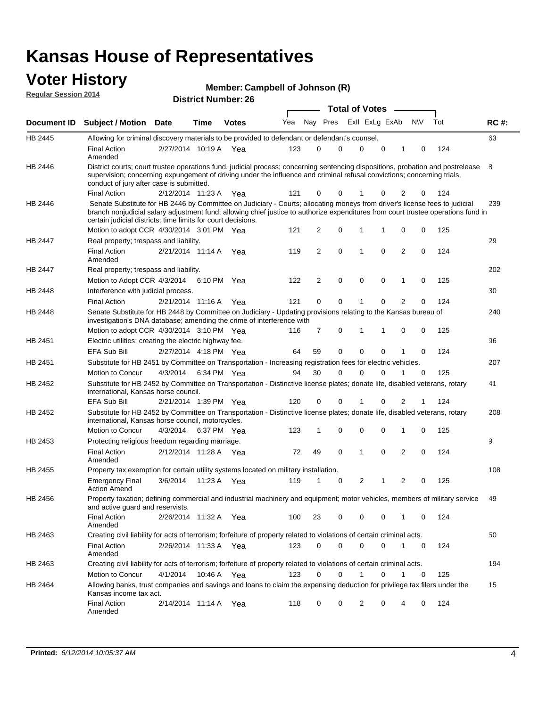#### **Voter History Regular Session 2014**

|  |  | Member: Campbell of Johnson (R) |  |
|--|--|---------------------------------|--|
|--|--|---------------------------------|--|

| noguidi ocoololi 4017 |                                                                                                                                                                                                                                                                                                                                 |                       |         | <b>District Number: 26</b> |     |    |                |             |                       |                |                |             |     |             |
|-----------------------|---------------------------------------------------------------------------------------------------------------------------------------------------------------------------------------------------------------------------------------------------------------------------------------------------------------------------------|-----------------------|---------|----------------------------|-----|----|----------------|-------------|-----------------------|----------------|----------------|-------------|-----|-------------|
|                       |                                                                                                                                                                                                                                                                                                                                 |                       |         |                            |     |    |                |             | <b>Total of Votes</b> |                |                |             |     |             |
| Document ID           | Subject / Motion Date                                                                                                                                                                                                                                                                                                           |                       | Time    | <b>Votes</b>               | Yea |    | Nay Pres       |             |                       | Exll ExLg ExAb |                | N\V         | Tot | <b>RC#:</b> |
| <b>HB 2445</b>        | Allowing for criminal discovery materials to be provided to defendant or defendant's counsel.                                                                                                                                                                                                                                   |                       |         |                            |     |    |                |             |                       |                |                |             |     | 63          |
|                       | <b>Final Action</b><br>Amended                                                                                                                                                                                                                                                                                                  | 2/27/2014 10:19 A Yea |         |                            | 123 |    | 0              | $\Omega$    | 0                     | 0              | 1              | 0           | 124 |             |
| HB 2446               | District courts; court trustee operations fund. judicial process; concerning sentencing dispositions, probation and postrelease<br>supervision; concerning expungement of driving under the influence and criminal refusal convictions; concerning trials,<br>conduct of jury after case is submitted.                          |                       |         |                            |     |    |                |             |                       |                |                |             |     | 8           |
|                       | <b>Final Action</b>                                                                                                                                                                                                                                                                                                             | 2/12/2014 11:23 A     |         | Yea                        | 121 |    | 0              | 0           |                       | 0              | 2              | 0           | 124 |             |
| HB 2446               | Senate Substitute for HB 2446 by Committee on Judiciary - Courts; allocating moneys from driver's license fees to judicial<br>branch nonjudicial salary adjustment fund; allowing chief justice to authorize expenditures from court trustee operations fund in<br>certain judicial districts; time limits for court decisions. |                       |         |                            |     |    |                |             |                       |                |                |             |     | 239         |
|                       | Motion to adopt CCR 4/30/2014 3:01 PM Yea                                                                                                                                                                                                                                                                                       |                       |         |                            | 121 |    | 2              | 0           | 1                     | 1              | 0              | 0           | 125 |             |
| HB 2447               | Real property; trespass and liability.                                                                                                                                                                                                                                                                                          |                       |         |                            |     |    |                |             |                       |                |                |             |     | 29          |
|                       | <b>Final Action</b><br>Amended                                                                                                                                                                                                                                                                                                  | 2/21/2014 11:14 A     |         | Yea                        | 119 |    | $\overline{2}$ | 0           | 1                     | $\mathbf 0$    | $\overline{2}$ | 0           | 124 |             |
| HB 2447               | Real property; trespass and liability.                                                                                                                                                                                                                                                                                          |                       |         |                            |     |    |                |             |                       |                |                |             |     | 202         |
|                       | Motion to Adopt CCR 4/3/2014 6:10 PM Yea                                                                                                                                                                                                                                                                                        |                       |         |                            | 122 |    | $\overline{2}$ | 0           | 0                     | $\mathbf 0$    | 1              | 0           | 125 |             |
| HB 2448               | Interference with judicial process.                                                                                                                                                                                                                                                                                             |                       |         |                            |     |    |                |             |                       |                |                |             |     | 30          |
|                       | <b>Final Action</b>                                                                                                                                                                                                                                                                                                             | 2/21/2014 11:16 A     |         | Yea                        | 121 |    | 0              | 0           | 1                     | $\mathbf 0$    | 2              | 0           | 124 |             |
| <b>HB 2448</b>        | Senate Substitute for HB 2448 by Committee on Judiciary - Updating provisions relating to the Kansas bureau of<br>investigation's DNA database; amending the crime of interference with                                                                                                                                         |                       |         |                            |     |    |                |             |                       |                |                |             |     | 240         |
|                       | Motion to adopt CCR 4/30/2014 3:10 PM Yea                                                                                                                                                                                                                                                                                       |                       |         |                            | 116 |    | 7              | 0           | 1                     | 1              | 0              | 0           | 125 |             |
| HB 2451               | Electric utilities; creating the electric highway fee.                                                                                                                                                                                                                                                                          |                       |         |                            |     |    |                |             |                       |                |                |             |     | 96          |
|                       | <b>EFA Sub Bill</b>                                                                                                                                                                                                                                                                                                             | 2/27/2014 4:18 PM Yea |         |                            | 64  | 59 |                | 0           | $\mathbf{0}$          | $\mathbf 0$    | 1              | 0           | 124 |             |
| HB 2451               | Substitute for HB 2451 by Committee on Transportation - Increasing registration fees for electric vehicles.                                                                                                                                                                                                                     |                       |         |                            |     |    |                |             |                       |                |                |             |     | 207         |
|                       | Motion to Concur                                                                                                                                                                                                                                                                                                                | 4/3/2014              |         | 6:34 PM Yea                | 94  | 30 |                | $\Omega$    | $\mathbf{0}$          | $\Omega$       | 1              | $\mathbf 0$ | 125 |             |
| HB 2452               | Substitute for HB 2452 by Committee on Transportation - Distinctive license plates; donate life, disabled veterans, rotary<br>international, Kansas horse council.                                                                                                                                                              |                       |         |                            |     |    |                |             |                       |                |                |             |     | 41          |
|                       | <b>EFA Sub Bill</b>                                                                                                                                                                                                                                                                                                             | 2/21/2014 1:39 PM Yea |         |                            | 120 |    | 0              | 0           | 1                     | $\Omega$       | 2              |             | 124 |             |
| HB 2452               | Substitute for HB 2452 by Committee on Transportation - Distinctive license plates; donate life, disabled veterans, rotary<br>international, Kansas horse council, motorcycles.                                                                                                                                                 |                       |         |                            |     |    |                |             |                       |                |                |             |     | 208         |
|                       | Motion to Concur                                                                                                                                                                                                                                                                                                                | 4/3/2014              |         | 6:37 PM Yea                | 123 |    | 1              | 0           | 0                     | 0              | 1              | 0           | 125 |             |
| HB 2453               | Protecting religious freedom regarding marriage.                                                                                                                                                                                                                                                                                |                       |         |                            |     |    |                |             |                       |                |                |             |     | 9           |
|                       | <b>Final Action</b><br>Amended                                                                                                                                                                                                                                                                                                  | 2/12/2014 11:28 A     |         | Yea                        | 72  | 49 |                | 0           | 1                     | $\mathbf 0$    | $\overline{2}$ | 0           | 124 |             |
| HB 2455               | Property tax exemption for certain utility systems located on military installation.                                                                                                                                                                                                                                            |                       |         |                            |     |    |                |             |                       |                |                |             |     | 108         |
|                       | <b>Emergency Final</b><br><b>Action Amend</b>                                                                                                                                                                                                                                                                                   | 3/6/2014              | 11:23 A | Yea                        | 119 |    |                | 0           | 2                     | 1              | 2              | 0           | 125 |             |
| HB 2456               | Property taxation; defining commercial and industrial machinery and equipment; motor vehicles, members of military service<br>and active guard and reservists.                                                                                                                                                                  |                       |         |                            |     |    |                |             |                       |                |                |             |     | 49          |
|                       | <b>Final Action</b><br>Amended                                                                                                                                                                                                                                                                                                  | 2/26/2014 11:32 A Yea |         |                            | 100 | 23 |                | 0           | 0                     | 0              | 1              | 0           | 124 |             |
| HB 2463               | Creating civil liability for acts of terrorism; forfeiture of property related to violations of certain criminal acts.                                                                                                                                                                                                          |                       |         |                            |     |    |                |             |                       |                |                |             |     | 50          |
|                       | <b>Final Action</b><br>Amended                                                                                                                                                                                                                                                                                                  | 2/26/2014 11:33 A Yea |         |                            | 123 |    | 0              | $\mathbf 0$ | $\mathbf 0$           | 0              | 1              | 0           | 124 |             |
| HB 2463               | Creating civil liability for acts of terrorism; forfeiture of property related to violations of certain criminal acts.                                                                                                                                                                                                          |                       |         |                            |     |    |                |             |                       |                |                |             |     | 194         |
|                       | Motion to Concur                                                                                                                                                                                                                                                                                                                | 4/1/2014              |         | 10:46 A Yea                | 123 |    | 0              | 0           | 1                     | 0              | 1              | 0           | 125 |             |
| HB 2464               | Allowing banks, trust companies and savings and loans to claim the expensing deduction for privilege tax filers under the<br>Kansas income tax act.                                                                                                                                                                             |                       |         |                            |     |    |                |             |                       |                |                |             |     | 15          |
|                       | <b>Final Action</b><br>Amended                                                                                                                                                                                                                                                                                                  | 2/14/2014 11:14 A Yea |         |                            | 118 |    | 0              | 0           | 2                     | 0              | 4              | 0           | 124 |             |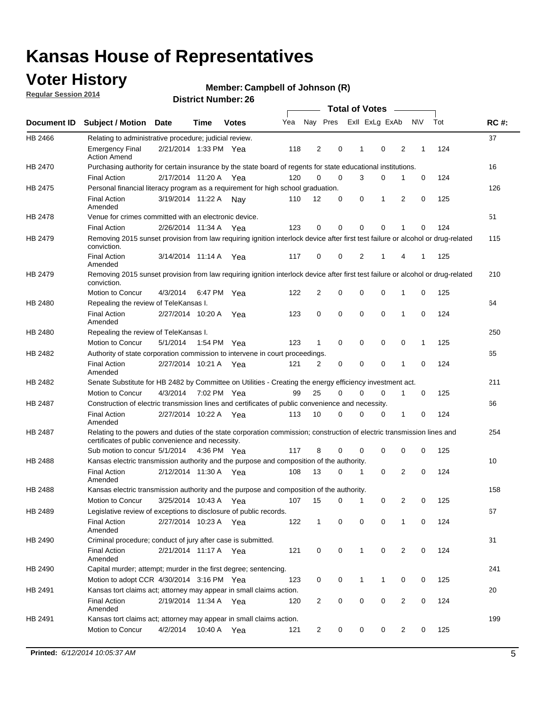## **Voter History**

**Regular Session 2014**

#### **Member: Campbell of Johnson (R)**

|                |                                                                                                                                                                             |                       |                   |              |     |                |             | <b>Total of Votes</b> |             |   |           |     |             |
|----------------|-----------------------------------------------------------------------------------------------------------------------------------------------------------------------------|-----------------------|-------------------|--------------|-----|----------------|-------------|-----------------------|-------------|---|-----------|-----|-------------|
|                | Document ID Subject / Motion                                                                                                                                                | <b>Date</b>           | Time              | <b>Votes</b> | Yea | Nay Pres       |             | Exll ExLg ExAb        |             |   | <b>NV</b> | Tot | <b>RC#:</b> |
| HB 2466        | Relating to administrative procedure; judicial review.                                                                                                                      |                       |                   |              |     |                |             |                       |             |   |           |     | 37          |
|                | <b>Emergency Final</b><br><b>Action Amend</b>                                                                                                                               | 2/21/2014 1:33 PM Yea |                   |              | 118 | 2              | 0           | 1                     | $\mathbf 0$ | 2 | 1         | 124 |             |
| HB 2470        | Purchasing authority for certain insurance by the state board of regents for state educational institutions.                                                                |                       |                   |              |     |                |             |                       |             |   |           |     | 16          |
|                | <b>Final Action</b>                                                                                                                                                         | 2/17/2014 11:20 A Yea |                   |              | 120 | $\mathbf 0$    | $\mathbf 0$ | 3                     | 0           | 1 | 0         | 124 |             |
| HB 2475        | Personal financial literacy program as a requirement for high school graduation.                                                                                            |                       |                   |              |     |                |             |                       |             |   |           |     | 126         |
|                | <b>Final Action</b><br>Amended                                                                                                                                              | 3/19/2014 11:22 A Nay |                   |              | 110 | 12             | 0           | 0                     | 1           | 2 | 0         | 125 |             |
| HB 2478        | Venue for crimes committed with an electronic device.                                                                                                                       |                       |                   |              |     |                |             |                       |             |   |           |     | 51          |
|                | <b>Final Action</b>                                                                                                                                                         | 2/26/2014 11:34 A     |                   | Yea          | 123 | 0              | 0           | $\mathbf 0$           | $\mathbf 0$ | 1 | 0         | 124 |             |
| HB 2479        | Removing 2015 sunset provision from law requiring ignition interlock device after first test failure or alcohol or drug-related<br>conviction.                              |                       |                   |              |     |                |             |                       |             |   |           |     | 115         |
|                | <b>Final Action</b><br>Amended                                                                                                                                              | 3/14/2014 11:14 A     |                   | Yea          | 117 | $\mathbf 0$    | 0           | 2                     | 1           | 4 | 1         | 125 |             |
| HB 2479        | Removing 2015 sunset provision from law requiring ignition interlock device after first test failure or alcohol or drug-related<br>conviction.                              |                       |                   |              |     |                |             |                       |             |   |           |     | 210         |
|                | Motion to Concur                                                                                                                                                            | 4/3/2014              |                   | 6:47 PM Yea  | 122 | $\overline{2}$ | 0           | 0                     | $\mathbf 0$ | 1 | 0         | 125 |             |
| HB 2480        | Repealing the review of TeleKansas I.                                                                                                                                       |                       |                   |              |     |                |             |                       |             |   |           |     | 64          |
|                | <b>Final Action</b><br>Amended                                                                                                                                              | 2/27/2014 10:20 A     |                   | Yea          | 123 | 0              | $\mathbf 0$ | $\mathbf 0$           | $\mathbf 0$ | 1 | 0         | 124 |             |
| HB 2480        | Repealing the review of TeleKansas I.                                                                                                                                       |                       |                   |              |     |                |             |                       |             |   |           |     | 250         |
|                | Motion to Concur                                                                                                                                                            | 5/1/2014              |                   | 1:54 PM Yea  | 123 | 1              | 0           | 0                     | 0           | 0 | 1         | 125 |             |
| HB 2482        | Authority of state corporation commission to intervene in court proceedings.                                                                                                |                       |                   |              |     |                |             |                       |             |   |           |     | 65          |
|                | <b>Final Action</b><br>Amended                                                                                                                                              | 2/27/2014 10:21 A     |                   | Yea          | 121 | 2              | 0           | $\mathbf 0$           | $\mathbf 0$ | 1 | 0         | 124 |             |
| HB 2482        | Senate Substitute for HB 2482 by Committee on Utilities - Creating the energy efficiency investment act.                                                                    |                       |                   |              |     |                |             |                       |             |   |           |     | 211         |
|                | Motion to Concur                                                                                                                                                            | 4/3/2014 7:02 PM Yea  |                   |              | 99  | 25             | $\Omega$    | 0                     | $\mathbf 0$ | 1 | 0         | 125 |             |
| <b>HB 2487</b> | Construction of electric transmission lines and certificates of public convenience and necessity.                                                                           |                       |                   |              |     |                |             |                       |             |   |           |     | 66          |
|                | <b>Final Action</b><br>Amended                                                                                                                                              | 2/27/2014 10:22 A Yea |                   |              | 113 | 10             | 0           | $\mathbf 0$           | 0           | 1 | 0         | 124 |             |
| HB 2487        | Relating to the powers and duties of the state corporation commission; construction of electric transmission lines and<br>certificates of public convenience and necessity. |                       |                   |              |     |                |             |                       |             |   |           |     | 254         |
|                | Sub motion to concur 5/1/2014                                                                                                                                               |                       |                   | 4:36 PM Yea  | 117 | 8              | 0           | 0                     | 0           | 0 | 0         | 125 |             |
| <b>HB 2488</b> | Kansas electric transmission authority and the purpose and composition of the authority.                                                                                    |                       |                   |              |     |                |             |                       |             |   |           |     | 10          |
|                | <b>Final Action</b><br>Amended                                                                                                                                              | 2/12/2014 11:30 A     |                   | Yea          | 108 | 13             | 0           | 1                     | $\mathbf 0$ | 2 | 0         | 124 |             |
| <b>HB 2488</b> | Kansas electric transmission authority and the purpose and composition of the authority.                                                                                    |                       |                   |              |     |                |             |                       |             |   |           |     | 158         |
|                | Motion to Concur                                                                                                                                                            |                       | 3/25/2014 10:43 A | Yea          | 107 | 15             | 0           | $\mathbf{1}$          | 0           | 2 | 0         | 125 |             |
| HB 2489        | Legislative review of exceptions to disclosure of public records.                                                                                                           |                       |                   |              |     |                |             |                       |             |   |           |     | 67          |
|                | <b>Final Action</b><br>Amended                                                                                                                                              | 2/27/2014 10:23 A Yea |                   |              | 122 | $\mathbf{1}$   | 0           | 0                     | 0           | 1 | 0         | 124 |             |
| HB 2490        | Criminal procedure; conduct of jury after case is submitted.                                                                                                                |                       |                   |              |     |                |             |                       |             |   |           |     | 31          |
|                | <b>Final Action</b><br>Amended                                                                                                                                              | 2/21/2014 11:17 A Yea |                   |              | 121 | 0              | 0           | $\mathbf{1}$          | $\mathbf 0$ | 2 | 0         | 124 |             |
| HB 2490        | Capital murder; attempt; murder in the first degree; sentencing.                                                                                                            |                       |                   |              |     |                |             |                       |             |   |           |     | 241         |
|                | Motion to adopt CCR 4/30/2014 3:16 PM Yea                                                                                                                                   |                       |                   |              | 123 | 0              | 0           | 1                     | 1           | 0 | 0         | 125 |             |
| HB 2491        | Kansas tort claims act; attorney may appear in small claims action.                                                                                                         |                       |                   |              |     |                |             |                       |             |   |           |     | 20          |
|                | <b>Final Action</b><br>Amended                                                                                                                                              | 2/19/2014 11:34 A Yea |                   |              | 120 | $\overline{c}$ | 0           | 0                     | $\pmb{0}$   | 2 | 0         | 124 |             |
| HB 2491        | Kansas tort claims act; attorney may appear in small claims action.                                                                                                         |                       |                   |              |     |                |             |                       |             |   |           |     | 199         |
|                | Motion to Concur                                                                                                                                                            | 4/2/2014              | 10:40 A           | Yea          | 121 | 2              | 0           | 0                     | 0           | 2 | 0         | 125 |             |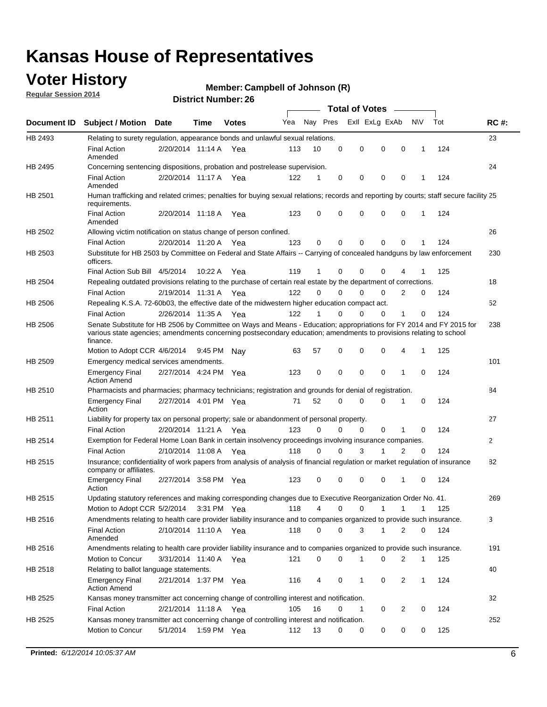## **Voter History**

**Regular Session 2014**

#### **Member: Campbell of Johnson (R)**

|                    |                                                                                                                                                                                                                                                        |                       |         |             |     |          |          | <b>Total of Votes</b> |                |              |              |     |              |
|--------------------|--------------------------------------------------------------------------------------------------------------------------------------------------------------------------------------------------------------------------------------------------------|-----------------------|---------|-------------|-----|----------|----------|-----------------------|----------------|--------------|--------------|-----|--------------|
| <b>Document ID</b> | <b>Subject / Motion Date</b>                                                                                                                                                                                                                           |                       | Time    | Votes       | Yea | Nay Pres |          |                       | Exll ExLg ExAb |              | N\V          | Tot | <b>RC#:</b>  |
| HB 2493            | Relating to surety regulation, appearance bonds and unlawful sexual relations.                                                                                                                                                                         |                       |         |             |     |          |          |                       |                |              |              |     | 23           |
|                    | <b>Final Action</b><br>Amended                                                                                                                                                                                                                         | 2/20/2014 11:14 A     |         | Yea         | 113 | 10       | 0        | 0                     | $\mathbf 0$    | 0            | 1            | 124 |              |
| HB 2495            | Concerning sentencing dispositions, probation and postrelease supervision.                                                                                                                                                                             |                       |         |             |     |          |          |                       |                |              |              |     | 24           |
|                    | Final Action<br>Amended                                                                                                                                                                                                                                | 2/20/2014 11:17 A Yea |         |             | 122 |          | 0        | $\mathbf 0$           | $\mathbf 0$    | 0            |              | 124 |              |
| HB 2501            | Human trafficking and related crimes; penalties for buying sexual relations; records and reporting by courts; staff secure facility 25<br>requirements.                                                                                                |                       |         |             |     |          |          |                       |                |              |              |     |              |
|                    | <b>Final Action</b><br>Amended                                                                                                                                                                                                                         | 2/20/2014 11:18 A Yea |         |             | 123 | 0        | 0        | $\mathbf 0$           | $\Omega$       | 0            | 1            | 124 |              |
| HB 2502            | Allowing victim notification on status change of person confined.                                                                                                                                                                                      |                       |         |             |     |          |          |                       |                |              |              |     | 26           |
|                    | <b>Final Action</b>                                                                                                                                                                                                                                    | 2/20/2014 11:20 A Yea |         |             | 123 | 0        | 0        | $\mathbf 0$           | $\mathbf 0$    | $\Omega$     |              | 124 |              |
| HB 2503            | Substitute for HB 2503 by Committee on Federal and State Affairs -- Carrying of concealed handguns by law enforcement<br>officers.                                                                                                                     |                       |         |             |     |          |          |                       |                |              |              |     | 230          |
|                    | Final Action Sub Bill 4/5/2014                                                                                                                                                                                                                         |                       | 10:22 A | Yea         | 119 |          | 0        | $\Omega$              | $\Omega$       | 4            |              | 125 |              |
| HB 2504            | Repealing outdated provisions relating to the purchase of certain real estate by the department of corrections.                                                                                                                                        |                       |         |             |     |          |          |                       |                |              |              |     | 18           |
|                    | <b>Final Action</b>                                                                                                                                                                                                                                    | 2/19/2014 11:31 A Yea |         |             | 122 | $\Omega$ | $\Omega$ | $\Omega$              | $\Omega$       | 2            | 0            | 124 |              |
| HB 2506            | Repealing K.S.A. 72-60b03, the effective date of the midwestern higher education compact act.                                                                                                                                                          |                       |         |             |     |          |          |                       |                |              |              |     | 52           |
|                    | <b>Final Action</b>                                                                                                                                                                                                                                    | 2/26/2014 11:35 A Yea |         |             | 122 |          | $\Omega$ | $\Omega$              | $\Omega$       | 1            | 0            | 124 |              |
| HB 2506            | Senate Substitute for HB 2506 by Committee on Ways and Means - Education; appropriations for FY 2014 and FY 2015 for<br>various state agencies; amendments concerning postsecondary education; amendments to provisions relating to school<br>finance. |                       |         |             |     |          |          |                       |                |              |              |     | 238          |
|                    | Motion to Adopt CCR 4/6/2014                                                                                                                                                                                                                           |                       | 9:45 PM | Nav         | 63  | 57       | 0        | $\mathbf 0$           | 0              | 4            | 1            | 125 |              |
| HB 2509            | Emergency medical services amendments.                                                                                                                                                                                                                 |                       |         |             |     |          |          |                       |                |              |              |     | 101          |
|                    | <b>Emergency Final</b><br><b>Action Amend</b>                                                                                                                                                                                                          | 2/27/2014 4:24 PM Yea |         |             | 123 | 0        | 0        | $\mathbf 0$           | $\mathbf 0$    | $\mathbf{1}$ | 0            | 124 |              |
| HB 2510            | Pharmacists and pharmacies; pharmacy technicians; registration and grounds for denial of registration.                                                                                                                                                 |                       |         |             |     |          |          |                       |                |              |              |     | 84           |
|                    | <b>Emergency Final</b><br>Action                                                                                                                                                                                                                       | 2/27/2014 4:01 PM Yea |         |             | 71  | 52       | 0        | $\Omega$              | 0              | 1            | 0            | 124 |              |
| HB 2511            | Liability for property tax on personal property; sale or abandonment of personal property.                                                                                                                                                             |                       |         |             |     |          |          |                       |                |              |              |     | 27           |
|                    | <b>Final Action</b>                                                                                                                                                                                                                                    | 2/20/2014 11:21 A     |         | Yea         | 123 | 0        | $\Omega$ | $\mathbf 0$           | $\mathbf 0$    | 1            | 0            | 124 |              |
| HB 2514            | Exemption for Federal Home Loan Bank in certain insolvency proceedings involving insurance companies.                                                                                                                                                  |                       |         |             |     |          |          |                       |                |              |              |     | $\mathbf{2}$ |
|                    | <b>Final Action</b>                                                                                                                                                                                                                                    | 2/10/2014 11:08 A     |         | Yea         | 118 | 0        | $\Omega$ | 3                     | 1              | 2            | $\mathbf 0$  | 124 |              |
| HB 2515            | Insurance; confidentiality of work papers from analysis of analysis of financial regulation or market regulation of insurance<br>company or affiliates.                                                                                                |                       |         |             |     |          |          |                       |                |              |              |     | 82           |
|                    | <b>Emergency Final</b><br>Action                                                                                                                                                                                                                       | 2/27/2014 3:58 PM Yea |         |             | 123 | 0        | 0        | $\mathbf 0$           | 0              | $\mathbf 1$  | 0            | 124 |              |
| HB 2515            | Updating statutory references and making corresponding changes due to Executive Reorganization Order No. 41.                                                                                                                                           |                       |         |             |     |          |          |                       |                |              |              |     | 269          |
|                    | Motion to Adopt CCR 5/2/2014                                                                                                                                                                                                                           |                       |         | 3:31 PM Yea | 118 | 4        | 0        | 0                     | $\mathbf{1}$   | $\mathbf{1}$ | 1            | 125 |              |
| HB 2516            | Amendments relating to health care provider liability insurance and to companies organized to provide such insurance.                                                                                                                                  |                       |         |             |     |          |          |                       |                |              |              |     | 3            |
|                    | <b>Final Action</b><br>Amended                                                                                                                                                                                                                         | 2/10/2014 11:10 A Yea |         |             | 118 | 0        | 0        | 3                     | 1              | 2            | 0            | 124 |              |
| HB 2516            | Amendments relating to health care provider liability insurance and to companies organized to provide such insurance.                                                                                                                                  |                       |         |             |     |          |          |                       |                |              |              |     | 191          |
|                    | Motion to Concur                                                                                                                                                                                                                                       | 3/31/2014 11:40 A Yea |         |             | 121 | 0        | 0        | 1                     | 0              | 2            | 1            | 125 |              |
| HB 2518            | Relating to ballot language statements.                                                                                                                                                                                                                |                       |         |             |     |          |          |                       |                |              |              |     | 40           |
|                    | <b>Emergency Final</b><br><b>Action Amend</b>                                                                                                                                                                                                          | 2/21/2014 1:37 PM Yea |         |             | 116 | 4        | 0        | 1                     | 0              | 2            | $\mathbf{1}$ | 124 |              |
| HB 2525            | Kansas money transmitter act concerning change of controlling interest and notification.                                                                                                                                                               |                       |         |             |     |          |          |                       |                |              |              |     | 32           |
|                    | <b>Final Action</b>                                                                                                                                                                                                                                    | 2/21/2014 11:18 A Yea |         |             | 105 | 16       | 0        | 1                     | 0              | 2            | 0            | 124 |              |
| HB 2525            | Kansas money transmitter act concerning change of controlling interest and notification.                                                                                                                                                               |                       |         |             |     |          |          |                       |                |              |              |     | 252          |
|                    | Motion to Concur                                                                                                                                                                                                                                       | 5/1/2014              |         | 1:59 PM Yea | 112 | 13       | 0        | 0                     | 0              | 0            | 0            | 125 |              |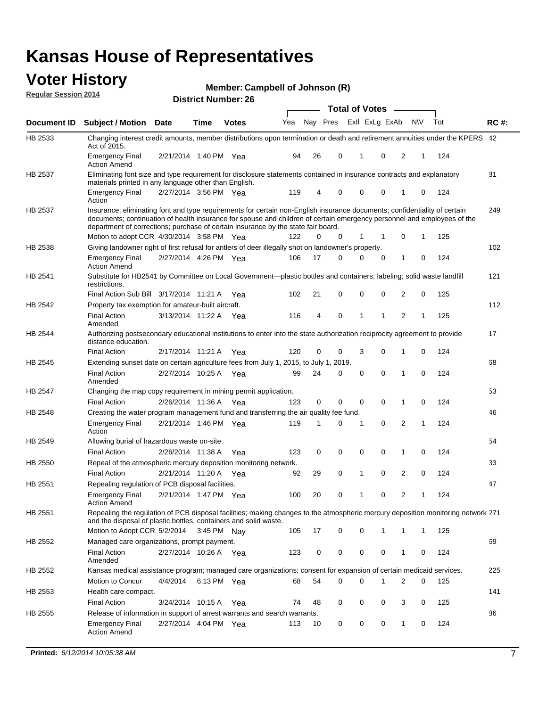#### **Voter History Regular Session 2014**

**Member: Campbell of Johnson (R)** 

|                    |                                                                                                                                                                                                                                                                                                                                           |                       |             | DISTRICT MAILING 1. 20 |     |    |             | <b>Total of Votes</b> |              |                |                |             |     |             |
|--------------------|-------------------------------------------------------------------------------------------------------------------------------------------------------------------------------------------------------------------------------------------------------------------------------------------------------------------------------------------|-----------------------|-------------|------------------------|-----|----|-------------|-----------------------|--------------|----------------|----------------|-------------|-----|-------------|
| <b>Document ID</b> | <b>Subject / Motion Date</b>                                                                                                                                                                                                                                                                                                              |                       | Time        | <b>Votes</b>           | Yea |    | Nay Pres    |                       |              | Exll ExLg ExAb | <b>NV</b>      |             | Tot | <b>RC#:</b> |
| HB 2533            | Changing interest credit amounts, member distributions upon termination or death and retirement annuities under the KPERS 42<br>Act of 2015.                                                                                                                                                                                              |                       |             |                        |     |    |             |                       |              |                |                |             |     |             |
|                    | <b>Emergency Final</b><br><b>Action Amend</b>                                                                                                                                                                                                                                                                                             | 2/21/2014 1:40 PM Yea |             |                        | 94  | 26 | 0           |                       | 1            | 0              | 2              | 1           | 124 |             |
| HB 2537            | Eliminating font size and type requirement for disclosure statements contained in insurance contracts and explanatory<br>materials printed in any language other than English.                                                                                                                                                            |                       |             |                        |     |    |             |                       |              |                |                |             |     | 81          |
|                    | <b>Emergency Final</b><br>Action                                                                                                                                                                                                                                                                                                          | 2/27/2014 3:56 PM Yea |             |                        | 119 | 4  | 0           |                       | 0            | 0              | 1              | 0           | 124 |             |
| HB 2537            | Insurance; eliminating font and type requirements for certain non-English insurance documents; confidentiality of certain<br>documents; continuation of health insurance for spouse and children of certain emergency personnel and employees of the<br>department of corrections; purchase of certain insurance by the state fair board. |                       |             |                        |     |    |             |                       |              |                |                |             |     | 249         |
|                    | Motion to adopt CCR 4/30/2014 3:58 PM Yea                                                                                                                                                                                                                                                                                                 |                       |             |                        | 122 | 0  | 0           |                       | 1            | 1              | 0              | 1           | 125 |             |
| HB 2538            | Giving landowner right of first refusal for antlers of deer illegally shot on landowner's property.                                                                                                                                                                                                                                       |                       |             |                        |     |    |             |                       |              |                |                |             |     | 102         |
|                    | <b>Emergency Final</b><br><b>Action Amend</b>                                                                                                                                                                                                                                                                                             | 2/27/2014 4:26 PM Yea |             |                        | 106 | 17 | 0           |                       | 0            | 0              | 1              | 0           | 124 |             |
| HB 2541            | Substitute for HB2541 by Committee on Local Government—plastic bottles and containers; labeling; solid waste landfill<br>restrictions.                                                                                                                                                                                                    |                       |             |                        |     |    |             |                       |              |                |                |             |     | 121         |
|                    | Final Action Sub Bill 3/17/2014 11:21 A Yea                                                                                                                                                                                                                                                                                               |                       |             |                        | 102 | 21 | 0           |                       | $\mathbf 0$  | 0              | 2              | 0           | 125 |             |
| HB 2542            | Property tax exemption for amateur-built aircraft.                                                                                                                                                                                                                                                                                        |                       |             |                        |     |    |             |                       |              |                |                |             |     | 112         |
|                    | <b>Final Action</b><br>Amended                                                                                                                                                                                                                                                                                                            | 3/13/2014 11:22 A Yea |             |                        | 116 | 4  | $\mathbf 0$ |                       | 1            | 1              | 2              | 1           | 125 |             |
| <b>HB 2544</b>     | Authorizing postsecondary educational institutions to enter into the state authorization reciprocity agreement to provide<br>distance education.                                                                                                                                                                                          |                       |             |                        |     |    |             |                       |              |                |                |             |     | 17          |
|                    | <b>Final Action</b>                                                                                                                                                                                                                                                                                                                       | 2/17/2014 11:21 A Yea |             |                        | 120 | 0  | 0           |                       | 3            | $\Omega$       | 1              | 0           | 124 |             |
| HB 2545            | Extending sunset date on certain agriculture fees from July 1, 2015, to July 1, 2019.                                                                                                                                                                                                                                                     |                       |             |                        |     |    |             |                       |              |                |                |             |     | 68          |
|                    | <b>Final Action</b><br>Amended                                                                                                                                                                                                                                                                                                            | 2/27/2014 10:25 A Yea |             |                        | 99  | 24 | 0           |                       | 0            | $\Omega$       | 1              | $\Omega$    | 124 |             |
| HB 2547            | Changing the map copy requirement in mining permit application.                                                                                                                                                                                                                                                                           |                       |             |                        |     |    |             |                       |              |                |                |             |     | 53          |
|                    | <b>Final Action</b>                                                                                                                                                                                                                                                                                                                       | 2/26/2014 11:36 A Yea |             |                        | 123 | 0  | 0           |                       | 0            | 0              | 1              | 0           | 124 |             |
| HB 2548            | Creating the water program management fund and transferring the air quality fee fund.                                                                                                                                                                                                                                                     |                       |             |                        |     |    |             |                       |              |                |                |             |     | 46          |
|                    | <b>Emergency Final</b><br>Action                                                                                                                                                                                                                                                                                                          | 2/21/2014 1:46 PM Yea |             |                        | 119 | 1  | 0           |                       | 1            | $\mathbf 0$    | 2              | 1           | 124 |             |
| HB 2549            | Allowing burial of hazardous waste on-site.                                                                                                                                                                                                                                                                                               |                       |             |                        |     |    |             |                       |              |                |                |             |     | 54          |
|                    | <b>Final Action</b>                                                                                                                                                                                                                                                                                                                       | 2/26/2014 11:38 A Yea |             |                        | 123 | 0  | 0           |                       | 0            | 0              | 1              | 0           | 124 |             |
| HB 2550            | Repeal of the atmospheric mercury deposition monitoring network.                                                                                                                                                                                                                                                                          |                       |             |                        |     |    |             |                       |              |                |                |             |     | 33          |
|                    | <b>Final Action</b>                                                                                                                                                                                                                                                                                                                       | 2/21/2014 11:20 A Yea |             |                        | 92  | 29 | 0           |                       | $\mathbf{1}$ | 0              | 2              | $\mathbf 0$ | 124 |             |
| HB 2551            | Repealing regulation of PCB disposal facilities.                                                                                                                                                                                                                                                                                          |                       |             |                        |     |    |             |                       |              |                |                |             |     | 47          |
|                    | <b>Emergency Final</b><br><b>Action Amend</b>                                                                                                                                                                                                                                                                                             | 2/21/2014 1:47 PM Yea |             |                        | 100 | 20 | 0           |                       | 1            | 0              | 2              | 1           | 124 |             |
| HB 2551            | Repealing the regulation of PCB disposal facilities; making changes to the atmospheric mercury deposition monitoring network 271<br>and the disposal of plastic bottles, containers and solid waste.                                                                                                                                      |                       |             |                        |     |    |             |                       |              |                |                |             |     |             |
|                    | Motion to Adopt CCR 5/2/2014 3:45 PM Nay                                                                                                                                                                                                                                                                                                  |                       |             |                        | 105 | 17 | 0           |                       | 0            | 1              | 1              | 1           | 125 |             |
| HB 2552            | Managed care organizations, prompt payment.                                                                                                                                                                                                                                                                                               |                       |             |                        |     |    |             |                       |              |                |                |             |     | 69          |
|                    | <b>Final Action</b><br>Amended                                                                                                                                                                                                                                                                                                            | 2/27/2014 10:26 A Yea |             |                        | 123 | 0  | 0           |                       | 0            | 0              | 1              | 0           | 124 |             |
| HB 2552            | Kansas medical assistance program; managed care organizations; consent for expansion of certain medicaid services.                                                                                                                                                                                                                        |                       |             |                        |     |    |             |                       |              |                |                |             |     | 225         |
|                    | Motion to Concur                                                                                                                                                                                                                                                                                                                          | 4/4/2014              | 6:13 PM Yea |                        | 68  | 54 | 0           |                       | $\Omega$     | 1              | $\overline{2}$ | 0           | 125 |             |
| HB 2553            | Health care compact.                                                                                                                                                                                                                                                                                                                      |                       |             |                        |     |    |             |                       |              |                |                |             |     | 141         |
|                    | <b>Final Action</b>                                                                                                                                                                                                                                                                                                                       | 3/24/2014 10:15 A Yea |             |                        | 74  | 48 | 0           |                       | 0            | 0              | 3              | 0           | 125 |             |
| HB 2555            | Release of information in support of arrest warrants and search warrants.                                                                                                                                                                                                                                                                 |                       |             |                        |     |    |             |                       |              |                |                |             |     | 86          |
|                    | <b>Emergency Final</b>                                                                                                                                                                                                                                                                                                                    | 2/27/2014 4:04 PM Yea |             |                        | 113 | 10 | 0           |                       | 0            | 0              | 1              | 0           | 124 |             |
|                    | <b>Action Amend</b>                                                                                                                                                                                                                                                                                                                       |                       |             |                        |     |    |             |                       |              |                |                |             |     |             |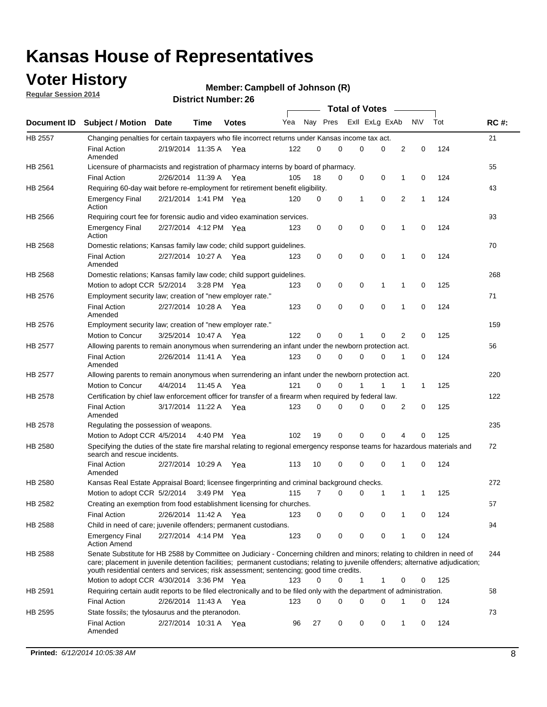## **Voter History**

**Regular Session 2014**

#### **Member: Campbell of Johnson (R)**

|                |                                                                                                                                                                                                                                                                                                                                                           |                       |             |              |     |          |   | <b>Total of Votes</b> |             |              |              |     |             |
|----------------|-----------------------------------------------------------------------------------------------------------------------------------------------------------------------------------------------------------------------------------------------------------------------------------------------------------------------------------------------------------|-----------------------|-------------|--------------|-----|----------|---|-----------------------|-------------|--------------|--------------|-----|-------------|
|                | Document ID Subject / Motion Date                                                                                                                                                                                                                                                                                                                         |                       | Time        | <b>Votes</b> | Yea | Nay Pres |   | Exll ExLg ExAb        |             |              | <b>NV</b>    | Tot | <b>RC#:</b> |
| <b>HB 2557</b> | Changing penalties for certain taxpayers who file incorrect returns under Kansas income tax act.                                                                                                                                                                                                                                                          |                       |             |              |     |          |   |                       |             |              |              |     | 21          |
|                | <b>Final Action</b><br>Amended                                                                                                                                                                                                                                                                                                                            | 2/19/2014 11:35 A     |             | Yea          | 122 | 0        | 0 | 0                     | 0           | 2            | 0            | 124 |             |
| HB 2561        | Licensure of pharmacists and registration of pharmacy interns by board of pharmacy.                                                                                                                                                                                                                                                                       |                       |             |              |     |          |   |                       |             |              |              |     | 55          |
|                | <b>Final Action</b>                                                                                                                                                                                                                                                                                                                                       | 2/26/2014 11:39 A Yea |             |              | 105 | 18       | 0 | 0                     | 0           | 1            | 0            | 124 |             |
| HB 2564        | Requiring 60-day wait before re-employment for retirement benefit eligibility.                                                                                                                                                                                                                                                                            |                       |             |              |     |          |   |                       |             |              |              |     | 43          |
|                | <b>Emergency Final</b><br>Action                                                                                                                                                                                                                                                                                                                          | 2/21/2014 1:41 PM Yea |             |              | 120 | 0        | 0 | 1                     | 0           | 2            | 1            | 124 |             |
| HB 2566        | Requiring court fee for forensic audio and video examination services.                                                                                                                                                                                                                                                                                    |                       |             |              |     |          |   |                       |             |              |              |     | 93          |
|                | <b>Emergency Final</b><br>Action                                                                                                                                                                                                                                                                                                                          | 2/27/2014 4:12 PM Yea |             |              | 123 | 0        | 0 | 0                     | $\mathbf 0$ | 1            | $\mathbf 0$  | 124 |             |
| HB 2568        | Domestic relations; Kansas family law code; child support guidelines.                                                                                                                                                                                                                                                                                     |                       |             |              |     |          |   |                       |             |              |              |     | 70          |
|                | <b>Final Action</b><br>Amended                                                                                                                                                                                                                                                                                                                            | 2/27/2014 10:27 A     |             | Yea          | 123 | 0        | 0 | 0                     | 0           | 1            | 0            | 124 |             |
| HB 2568        | Domestic relations; Kansas family law code; child support guidelines.                                                                                                                                                                                                                                                                                     |                       |             |              |     |          |   |                       |             |              |              |     | 268         |
|                | Motion to adopt CCR 5/2/2014                                                                                                                                                                                                                                                                                                                              |                       | 3:28 PM Yea |              | 123 | 0        | 0 | 0                     | 1           | 1            | 0            | 125 |             |
| HB 2576        | Employment security law; creation of "new employer rate."                                                                                                                                                                                                                                                                                                 |                       |             |              |     |          |   |                       |             |              |              |     | 71          |
|                | <b>Final Action</b><br>Amended                                                                                                                                                                                                                                                                                                                            | 2/27/2014 10:28 A     |             | Yea          | 123 | 0        | 0 | 0                     | $\mathbf 0$ | 1            | 0            | 124 |             |
| HB 2576        | Employment security law; creation of "new employer rate."                                                                                                                                                                                                                                                                                                 |                       |             |              |     |          |   |                       |             |              |              |     | 159         |
|                | Motion to Concur                                                                                                                                                                                                                                                                                                                                          | 3/25/2014 10:47 A     |             | Yea          | 122 | 0        | 0 | 1                     | 0           | 2            | 0            | 125 |             |
| HB 2577        | Allowing parents to remain anonymous when surrendering an infant under the newborn protection act.                                                                                                                                                                                                                                                        |                       |             |              |     |          |   |                       |             |              |              |     | 56          |
|                | <b>Final Action</b><br>Amended                                                                                                                                                                                                                                                                                                                            | 2/26/2014 11:41 A Yea |             |              | 123 | 0        | 0 | 0                     | $\Omega$    | 1            | 0            | 124 |             |
| HB 2577        | Allowing parents to remain anonymous when surrendering an infant under the newborn protection act.                                                                                                                                                                                                                                                        |                       |             |              |     |          |   |                       |             |              |              |     | 220         |
|                | Motion to Concur                                                                                                                                                                                                                                                                                                                                          | 4/4/2014              | 11:45 A     | Yea          | 121 | $\Omega$ | 0 |                       | 1           | $\mathbf{1}$ | $\mathbf{1}$ | 125 |             |
| HB 2578        | Certification by chief law enforcement officer for transfer of a firearm when required by federal law.                                                                                                                                                                                                                                                    |                       |             |              |     |          |   |                       |             |              |              |     | 122         |
|                | <b>Final Action</b><br>Amended                                                                                                                                                                                                                                                                                                                            | 3/17/2014 11:22 A     |             | Yea          | 123 | $\Omega$ | 0 | 0                     | $\Omega$    | 2            | 0            | 125 |             |
| HB 2578        | Regulating the possession of weapons.                                                                                                                                                                                                                                                                                                                     |                       |             |              |     |          |   |                       |             |              |              |     | 235         |
|                | Motion to Adopt CCR 4/5/2014 4:40 PM Yea                                                                                                                                                                                                                                                                                                                  |                       |             |              | 102 | 19       | 0 | 0                     | 0           | 4            | $\Omega$     | 125 |             |
| HB 2580        | Specifying the duties of the state fire marshal relating to regional emergency response teams for hazardous materials and<br>search and rescue incidents.                                                                                                                                                                                                 |                       |             |              |     |          |   |                       |             |              |              |     | 72          |
|                | <b>Final Action</b><br>Amended                                                                                                                                                                                                                                                                                                                            | 2/27/2014 10:29 A     |             | Yea          | 113 | 10       | 0 | 0                     | 0           | 1            | 0            | 124 |             |
| HB 2580        | Kansas Real Estate Appraisal Board; licensee fingerprinting and criminal background checks.                                                                                                                                                                                                                                                               |                       |             |              |     |          |   |                       |             |              |              |     | 272         |
|                | Motion to adopt CCR 5/2/2014                                                                                                                                                                                                                                                                                                                              |                       |             | 3:49 PM Yea  | 115 | 7        | 0 | 0                     | 1           | 1            | -1           | 125 |             |
| HB 2582        | Creating an exemption from food establishment licensing for churches.                                                                                                                                                                                                                                                                                     |                       |             |              |     |          |   |                       |             |              |              |     | 57          |
|                | <b>Final Action</b>                                                                                                                                                                                                                                                                                                                                       | 2/26/2014 11:42 A Yea |             |              | 123 | 0        | 0 | 0                     | 0           | 1            | 0            | 124 |             |
| HB 2588        | Child in need of care; juvenile offenders; permanent custodians.                                                                                                                                                                                                                                                                                          |                       |             |              |     |          |   |                       |             |              |              |     | 94          |
|                | <b>Emergency Final</b><br><b>Action Amend</b>                                                                                                                                                                                                                                                                                                             | 2/27/2014 4:14 PM Yea |             |              | 123 | 0        | 0 | 0                     | 0           | 1            | 0            | 124 |             |
| HB 2588        | Senate Substitute for HB 2588 by Committee on Judiciary - Concerning children and minors; relating to children in need of<br>care; placement in juvenile detention facilities; permanent custodians; relating to juvenile offenders; alternative adjudication;<br>youth residential centers and services; risk assessment; sentencing; good time credits. |                       |             |              |     |          |   |                       |             |              |              |     | 244         |
|                | Motion to adopt CCR 4/30/2014 3:36 PM Yea                                                                                                                                                                                                                                                                                                                 |                       |             |              | 123 | 0        | 0 | 1                     | 1           | 0            | 0            | 125 |             |
| HB 2591        | Requiring certain audit reports to be filed electronically and to be filed only with the department of administration.                                                                                                                                                                                                                                    |                       |             |              |     |          |   |                       |             |              |              |     | 58          |
|                | <b>Final Action</b>                                                                                                                                                                                                                                                                                                                                       | 2/26/2014 11:43 A Yea |             |              | 123 | 0        | 0 | 0                     | 0           | 1            | 0            | 124 |             |
| HB 2595        | State fossils; the tylosaurus and the pteranodon.                                                                                                                                                                                                                                                                                                         |                       |             |              |     |          |   |                       |             |              |              |     | 73          |
|                | <b>Final Action</b><br>Amended                                                                                                                                                                                                                                                                                                                            | 2/27/2014 10:31 A Yea |             |              | 96  | 27       | 0 | 0                     | 0           | 1            | 0            | 124 |             |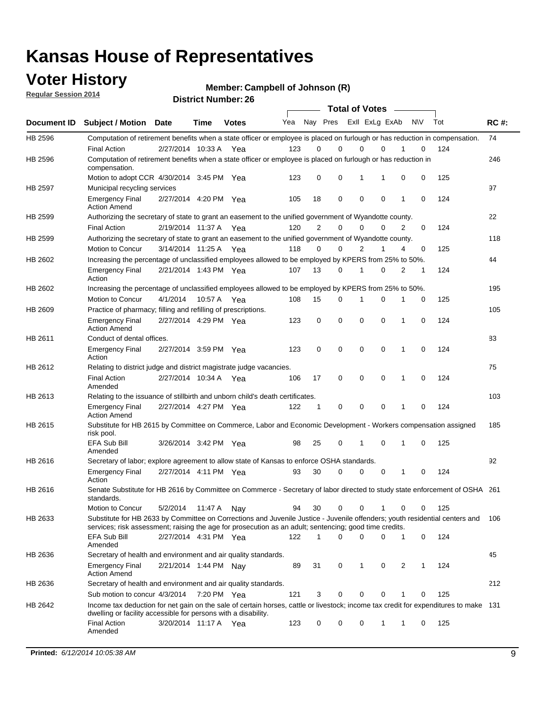### **Voter History**

**Regular Session 2014**

**Member: Campbell of Johnson (R)** 

|             |                                                                                                                                                                                                                                       |                       | <b>DISUILLINUIIINGI. ZU</b> |              |     |                |             | <b>Total of Votes</b> |             |              |           |     |             |
|-------------|---------------------------------------------------------------------------------------------------------------------------------------------------------------------------------------------------------------------------------------|-----------------------|-----------------------------|--------------|-----|----------------|-------------|-----------------------|-------------|--------------|-----------|-----|-------------|
| Document ID | <b>Subject / Motion Date</b>                                                                                                                                                                                                          |                       | Time                        | <b>Votes</b> | Yea | Nay Pres       |             | Exll ExLg ExAb        |             |              | <b>NV</b> | Tot | <b>RC#:</b> |
| HB 2596     | Computation of retirement benefits when a state officer or employee is placed on furlough or has reduction in compensation.                                                                                                           |                       |                             |              |     |                |             |                       |             |              |           |     | 74          |
|             | <b>Final Action</b>                                                                                                                                                                                                                   | 2/27/2014 10:33 A     |                             | Yea          | 123 | 0              | $\Omega$    | 0                     | $\Omega$    |              | 0         | 124 |             |
| HB 2596     | Computation of retirement benefits when a state officer or employee is placed on furlough or has reduction in<br>compensation.                                                                                                        |                       |                             |              |     |                |             |                       |             |              |           |     | 246         |
|             | Motion to adopt CCR 4/30/2014 3:45 PM Yea                                                                                                                                                                                             |                       |                             |              | 123 | 0              | 0           | 1                     |             | 0            | 0         | 125 |             |
| HB 2597     | Municipal recycling services                                                                                                                                                                                                          |                       |                             |              |     |                |             |                       |             |              |           |     | 97          |
|             | <b>Emergency Final</b><br><b>Action Amend</b>                                                                                                                                                                                         | 2/27/2014 4:20 PM Yea |                             |              | 105 | 18             | 0           | $\mathbf 0$           | $\mathbf 0$ | 1            | 0         | 124 |             |
| HB 2599     | Authorizing the secretary of state to grant an easement to the unified government of Wyandotte county.                                                                                                                                |                       |                             |              |     |                |             |                       |             |              |           |     | 22          |
|             | <b>Final Action</b>                                                                                                                                                                                                                   | 2/19/2014 11:37 A Yea |                             |              | 120 | $\overline{2}$ | 0           | $\Omega$              | 0           | 2            | 0         | 124 |             |
| HB 2599     | Authorizing the secretary of state to grant an easement to the unified government of Wyandotte county.                                                                                                                                |                       |                             |              |     |                |             |                       |             |              |           |     | 118         |
|             | Motion to Concur                                                                                                                                                                                                                      | 3/14/2014 11:25 A Yea |                             |              | 118 | 0              | $\mathbf 0$ | $\overline{2}$        | 1           | 4            | 0         | 125 |             |
| HB 2602     | Increasing the percentage of unclassified employees allowed to be employed by KPERS from 25% to 50%.                                                                                                                                  |                       |                             |              |     |                |             |                       |             |              |           |     | 44          |
|             | <b>Emergency Final</b><br>Action                                                                                                                                                                                                      | 2/21/2014 1:43 PM Yea |                             |              | 107 | 13             | 0           | 1                     | 0           | 2            | 1         | 124 |             |
| HB 2602     | Increasing the percentage of unclassified employees allowed to be employed by KPERS from 25% to 50%.                                                                                                                                  |                       |                             |              |     |                |             |                       |             |              |           |     | 195         |
|             | Motion to Concur                                                                                                                                                                                                                      | 4/1/2014              | 10:57 A                     | Yea          | 108 | 15             | 0           | 1                     | 0           | 1            | 0         | 125 |             |
| HB 2609     | Practice of pharmacy; filling and refilling of prescriptions.                                                                                                                                                                         |                       |                             |              |     |                |             |                       |             |              |           |     | 105         |
|             | <b>Emergency Final</b><br><b>Action Amend</b>                                                                                                                                                                                         | 2/27/2014 4:29 PM Yea |                             |              | 123 | 0              | $\mathbf 0$ | $\mathbf 0$           | 0           | $\mathbf{1}$ | 0         | 124 |             |
| HB 2611     | Conduct of dental offices.                                                                                                                                                                                                            |                       |                             |              |     |                |             |                       |             |              |           |     | 83          |
|             | <b>Emergency Final</b><br>Action                                                                                                                                                                                                      | 2/27/2014 3:59 PM Yea |                             |              | 123 | 0              | $\mathbf 0$ | $\mathbf 0$           | 0           | $\mathbf{1}$ | 0         | 124 |             |
| HB 2612     | Relating to district judge and district magistrate judge vacancies.                                                                                                                                                                   |                       |                             |              |     |                |             |                       |             |              |           |     | 75          |
|             | <b>Final Action</b><br>Amended                                                                                                                                                                                                        | 2/27/2014 10:34 A     |                             | Yea          | 106 | 17             | $\mathbf 0$ | $\mathbf 0$           | 0           | 1            | $\Omega$  | 124 |             |
| HB 2613     | Relating to the issuance of stillbirth and unborn child's death certificates.                                                                                                                                                         |                       |                             |              |     |                |             |                       |             |              |           |     | 103         |
|             | <b>Emergency Final</b><br><b>Action Amend</b>                                                                                                                                                                                         | 2/27/2014 4:27 PM Yea |                             |              | 122 | $\mathbf 1$    | 0           | 0                     | 0           | 1            | 0         | 124 |             |
| HB 2615     | Substitute for HB 2615 by Committee on Commerce, Labor and Economic Development - Workers compensation assigned<br>risk pool.                                                                                                         |                       |                             |              |     |                |             |                       |             |              |           |     | 185         |
|             | <b>EFA Sub Bill</b><br>Amended                                                                                                                                                                                                        | 3/26/2014 3:42 PM Yea |                             |              | 98  | 25             | 0           | 1                     | 0           | 1            | 0         | 125 |             |
| HB 2616     | Secretary of labor; explore agreement to allow state of Kansas to enforce OSHA standards.                                                                                                                                             |                       |                             |              |     |                |             |                       |             |              |           |     | 92          |
|             | <b>Emergency Final</b><br>Action                                                                                                                                                                                                      | 2/27/2014 4:11 PM Yea |                             |              | 93  | 30             | 0           | 0                     | 0           | 1            | 0         | 124 |             |
| HB 2616     | Senate Substitute for HB 2616 by Committee on Commerce - Secretary of labor directed to study state enforcement of OSHA 261<br>standards.                                                                                             |                       |                             |              |     |                |             |                       |             |              |           |     |             |
|             | Motion to Concur                                                                                                                                                                                                                      | 5/2/2014              | 11:47 A                     | Nav          | 94  | 30             | 0           | $\mathbf 0$           | 1           | 0            | 0         | 125 |             |
| HB 2633     | Substitute for HB 2633 by Committee on Corrections and Juvenile Justice - Juvenile offenders; youth residential centers and<br>services; risk assessment; raising the age for prosecution as an adult; sentencing; good time credits. |                       |                             |              |     |                |             |                       |             |              |           |     | 106         |
|             | <b>EFA Sub Bill</b><br>Amended                                                                                                                                                                                                        | 2/27/2014 4:31 PM Yea |                             |              | 122 | 1              | 0           | 0                     | 0           | 1            | 0         | 124 |             |
| HB 2636     | Secretary of health and environment and air quality standards.                                                                                                                                                                        |                       |                             |              |     |                |             |                       |             |              |           |     | 45          |
|             | <b>Emergency Final</b><br><b>Action Amend</b>                                                                                                                                                                                         | 2/21/2014 1:44 PM Nay |                             |              | 89  | 31             | 0           | 1                     | 0           | 2            | 1         | 124 |             |
| HB 2636     | Secretary of health and environment and air quality standards.                                                                                                                                                                        |                       |                             |              |     |                |             |                       |             |              |           |     | 212         |
|             | Sub motion to concur 4/3/2014                                                                                                                                                                                                         |                       | 7:20 PM Yea                 |              | 121 | 3              | 0           | 0                     | 0           | 1            | 0         | 125 |             |
| HB 2642     | Income tax deduction for net gain on the sale of certain horses, cattle or livestock; income tax credit for expenditures to make 131<br>dwelling or facility accessible for persons with a disability.                                |                       |                             |              |     |                |             |                       |             |              |           |     |             |
|             | <b>Final Action</b><br>Amended                                                                                                                                                                                                        | 3/20/2014 11:17 A Yea |                             |              | 123 | 0              | 0           | 0                     | 1           | 1            | 0         | 125 |             |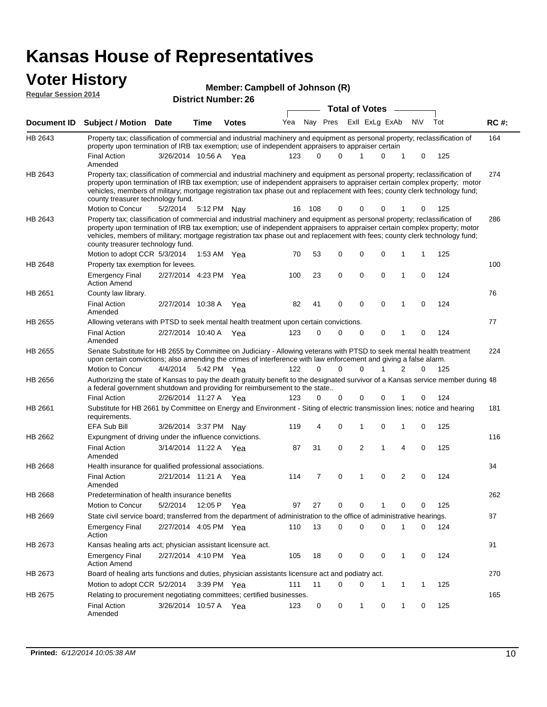#### **Voter History Regular Session 2014**

| Member: Campbell of Johnson (R) |  |
|---------------------------------|--|
|---------------------------------|--|

| negului ocssion zo i <del>1</del> |                                                                                                                                                                                                                                                                                                                                                                                                                                                               |                       |             | <b>District Number: 26</b> | <b>Total of Votes</b> |              |          |  |             |                               |             |                 |  |             |
|-----------------------------------|---------------------------------------------------------------------------------------------------------------------------------------------------------------------------------------------------------------------------------------------------------------------------------------------------------------------------------------------------------------------------------------------------------------------------------------------------------------|-----------------------|-------------|----------------------------|-----------------------|--------------|----------|--|-------------|-------------------------------|-------------|-----------------|--|-------------|
|                                   |                                                                                                                                                                                                                                                                                                                                                                                                                                                               |                       |             |                            |                       |              |          |  |             | $\sim$                        |             |                 |  |             |
| <b>Document ID</b>                | <b>Subject / Motion Date</b>                                                                                                                                                                                                                                                                                                                                                                                                                                  |                       | <b>Time</b> | <b>Votes</b>               | Yea                   |              | Nay Pres |  |             | Exll ExLg ExAb                | <b>NIV</b>  | Tot             |  | <b>RC#:</b> |
| HB 2643                           | Property tax; classification of commercial and industrial machinery and equipment as personal property; reclassification of<br>property upon termination of IRB tax exemption; use of independent appraisers to appraiser certain                                                                                                                                                                                                                             |                       |             |                            |                       |              |          |  |             |                               |             |                 |  | 164         |
|                                   | <b>Final Action</b><br>Amended                                                                                                                                                                                                                                                                                                                                                                                                                                | 3/26/2014 10:56 A Yea |             |                            | 123                   | <sup>0</sup> | 0        |  | 1           | 0<br>1                        |             | 125<br>0        |  |             |
| HB 2643                           | Property tax; classification of commercial and industrial machinery and equipment as personal property; reclassification of<br>property upon termination of IRB tax exemption; use of independent appraisers to appraiser certain complex property; motor<br>vehicles, members of military; mortgage registration tax phase out and replacement with fees; county clerk technology fund;<br>county treasurer technology fund.<br>Motion to Concur             | 5/2/2014              |             | 5:12 PM Nav                | 16                    | 108          | 0        |  | 0           | 0                             |             | 125<br>0        |  | 274         |
| HB 2643                           |                                                                                                                                                                                                                                                                                                                                                                                                                                                               |                       |             |                            |                       |              |          |  |             |                               |             |                 |  | 286         |
|                                   | Property tax; classification of commercial and industrial machinery and equipment as personal property; reclassification of<br>property upon termination of IRB tax exemption; use of independent appraisers to appraiser certain complex property; motor<br>vehicles, members of military; mortgage registration tax phase out and replacement with fees; county clerk technology fund;<br>county treasurer technology fund.<br>Motion to adopt CCR 5/3/2014 |                       |             | 1:53 AM Yea                | 70                    | 53           | 0        |  | 0           | 0<br>1                        | 1           | 125             |  |             |
|                                   |                                                                                                                                                                                                                                                                                                                                                                                                                                                               |                       |             |                            |                       |              |          |  |             |                               |             |                 |  |             |
| HB 2648                           | Property tax exemption for levees.<br><b>Emergency Final</b><br><b>Action Amend</b>                                                                                                                                                                                                                                                                                                                                                                           | 2/27/2014 4:23 PM Yea |             |                            | 100                   | 23           | 0        |  | $\mathbf 0$ | 0<br>1                        | $\mathbf 0$ | 124             |  | 100         |
| HB 2651                           | County law library.                                                                                                                                                                                                                                                                                                                                                                                                                                           |                       |             |                            |                       |              |          |  |             |                               |             |                 |  | 76          |
|                                   | <b>Final Action</b><br>Amended                                                                                                                                                                                                                                                                                                                                                                                                                                | 2/27/2014 10:38 A     |             | Yea                        | 82                    | 41           | 0        |  | $\mathbf 0$ | $\mathbf 0$<br>$\mathbf 1$    |             | 124<br>$\Omega$ |  |             |
| HB 2655                           | Allowing veterans with PTSD to seek mental health treatment upon certain convictions.                                                                                                                                                                                                                                                                                                                                                                         |                       |             |                            |                       |              |          |  |             |                               |             |                 |  | 77          |
|                                   | <b>Final Action</b><br>Amended                                                                                                                                                                                                                                                                                                                                                                                                                                | 2/27/2014 10:40 A     |             | Yea                        | 123                   | 0            | 0        |  | 0           | 0<br>$\mathbf{1}$             | 0           | 124             |  |             |
| HB 2655                           | Senate Substitute for HB 2655 by Committee on Judiciary - Allowing veterans with PTSD to seek mental health treatment<br>upon certain convictions; also amending the crimes of interference with law enforcement and giving a false alarm.                                                                                                                                                                                                                    |                       |             |                            |                       |              |          |  |             |                               |             |                 |  | 224         |
|                                   | Motion to Concur                                                                                                                                                                                                                                                                                                                                                                                                                                              | 4/4/2014              |             | 5:42 PM Yea                | 122                   | $\Omega$     | $\Omega$ |  | $\Omega$    | 2<br>1                        |             | $\Omega$<br>125 |  |             |
| HB 2656                           | Authorizing the state of Kansas to pay the death gratuity benefit to the designated survivor of a Kansas service member during 48<br>a federal government shutdown and providing for reimbursement to the state                                                                                                                                                                                                                                               |                       |             |                            |                       |              |          |  |             |                               |             |                 |  |             |
|                                   | <b>Final Action</b>                                                                                                                                                                                                                                                                                                                                                                                                                                           | 2/26/2014 11:27 A Yea |             |                            | 123                   | 0            | 0        |  | 0           |                               |             | 124<br>0        |  |             |
| HB 2661                           | Substitute for HB 2661 by Committee on Energy and Environment - Siting of electric transmission lines; notice and hearing<br>requirements.                                                                                                                                                                                                                                                                                                                    |                       |             |                            |                       |              |          |  |             |                               |             |                 |  | 181         |
|                                   | EFA Sub Bill                                                                                                                                                                                                                                                                                                                                                                                                                                                  | 3/26/2014 3:37 PM     |             | Nav                        | 119                   | 4            | 0        |  | 1           | 0<br>1                        | 0           | 125             |  |             |
| HB 2662                           | Expungment of driving under the influence convictions.                                                                                                                                                                                                                                                                                                                                                                                                        |                       |             |                            |                       |              |          |  |             |                               |             |                 |  | 116         |
|                                   | <b>Final Action</b><br>Amended                                                                                                                                                                                                                                                                                                                                                                                                                                | 3/14/2014 11:22 A     |             | Yea                        | 87                    | 31           | 0        |  | 2           | 1<br>4                        | 0           | 125             |  |             |
| HB 2668                           | Health insurance for qualified professional associations.                                                                                                                                                                                                                                                                                                                                                                                                     |                       |             |                            |                       |              |          |  |             |                               |             |                 |  | 34          |
|                                   | <b>Final Action</b><br>Amended                                                                                                                                                                                                                                                                                                                                                                                                                                | 2/21/2014 11:21 A Yea |             |                            | 114                   | 7            | 0        |  | 1           | $\overline{2}$<br>$\mathbf 0$ | $\Omega$    | 124             |  |             |
| <b>HB 2668</b>                    | Predetermination of health insurance benefits                                                                                                                                                                                                                                                                                                                                                                                                                 |                       |             |                            |                       |              |          |  |             |                               |             |                 |  | 262         |
|                                   | Motion to Concur                                                                                                                                                                                                                                                                                                                                                                                                                                              | 5/2/2014 12:05 P Yea  |             |                            | 97                    | 27           | 0        |  | 0           | 0                             |             | 125<br>0        |  |             |
| HB 2669                           | State civil service board; transferred from the department of administration to the office of administrative hearings.                                                                                                                                                                                                                                                                                                                                        |                       |             |                            |                       |              |          |  |             |                               |             |                 |  | 87          |
|                                   | <b>Emergency Final</b><br>Action                                                                                                                                                                                                                                                                                                                                                                                                                              | 2/27/2014 4:05 PM Yea |             |                            | 110                   | 13           | 0        |  | 0           | 0<br>1                        |             | 0<br>124        |  |             |
| HB 2673                           | Kansas healing arts act; physician assistant licensure act.                                                                                                                                                                                                                                                                                                                                                                                                   |                       |             |                            |                       |              |          |  |             |                               |             |                 |  | 91          |
|                                   | <b>Emergency Final</b><br><b>Action Amend</b>                                                                                                                                                                                                                                                                                                                                                                                                                 | 2/27/2014 4:10 PM Yea |             |                            | 105                   | 18           | 0        |  | 0           | 0<br>1                        |             | 124<br>0        |  |             |
| HB 2673                           | Board of healing arts functions and duties, physician assistants licensure act and podiatry act.                                                                                                                                                                                                                                                                                                                                                              |                       |             |                            |                       |              |          |  |             |                               |             |                 |  | 270         |
|                                   | Motion to adopt CCR 5/2/2014                                                                                                                                                                                                                                                                                                                                                                                                                                  |                       |             | 3:39 PM Yea                | 111                   | 11           | 0        |  | 0           | 1<br>1                        | 1           | 125             |  |             |
| HB 2675                           | Relating to procurement negotiating committees; certified businesses.                                                                                                                                                                                                                                                                                                                                                                                         |                       |             |                            |                       |              |          |  |             |                               |             |                 |  | 165         |
|                                   | <b>Final Action</b><br>Amended                                                                                                                                                                                                                                                                                                                                                                                                                                | 3/26/2014 10:57 A Yea |             |                            | 123                   | 0            | 0        |  | 1           | 0<br>1                        | 0           | 125             |  |             |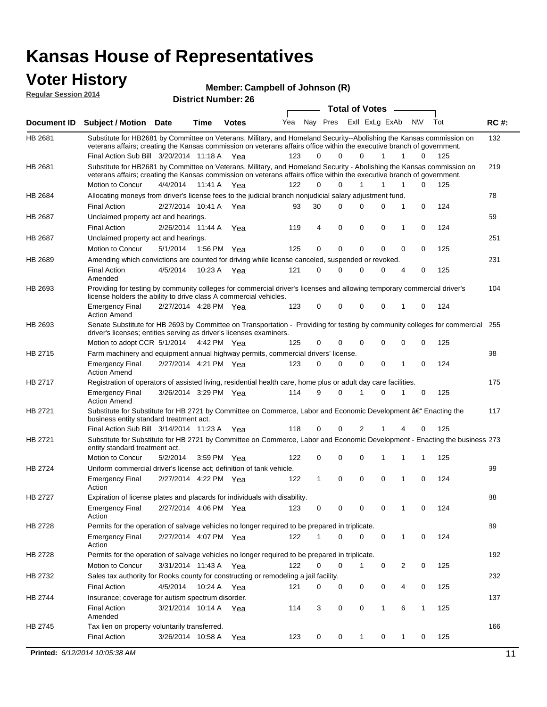### **Voter History**

#### **Campbell of Johnson (R)**

| <b>Regular Session 2014</b> |                                                                                                                                                                                                                                                                                               |                       |         |                            | <b>Mellinel</b> . California of Johnson (K) |              |                       |   |   |                |                     |          |             |
|-----------------------------|-----------------------------------------------------------------------------------------------------------------------------------------------------------------------------------------------------------------------------------------------------------------------------------------------|-----------------------|---------|----------------------------|---------------------------------------------|--------------|-----------------------|---|---|----------------|---------------------|----------|-------------|
|                             |                                                                                                                                                                                                                                                                                               |                       |         | <b>District Number: 26</b> |                                             |              |                       |   |   |                |                     |          |             |
|                             |                                                                                                                                                                                                                                                                                               |                       |         |                            |                                             |              | <b>Total of Votes</b> |   |   |                |                     |          |             |
| Document ID                 | <b>Subject / Motion Date</b>                                                                                                                                                                                                                                                                  |                       | Time    | <b>Votes</b>               | Yea                                         |              | Nay Pres              |   |   | Exll ExLg ExAb | <b>NV</b>           | Tot      | <b>RC#:</b> |
| <b>HB 2681</b>              | Substitute for HB2681 by Committee on Veterans, Military, and Homeland Security--Abolishing the Kansas commission on<br>veterans affairs; creating the Kansas commission on veterans affairs office within the executive branch of government.<br>Final Action Sub Bill 3/20/2014 11:18 A Yea |                       |         |                            | 123                                         | 0            | $\Omega$              |   | 0 | 1              | $\mathbf{1}$        | 0<br>125 | 132         |
| HB 2681                     | Substitute for HB2681 by Committee on Veterans, Military, and Homeland Security - Abolishing the Kansas commission on<br>veterans affairs; creating the Kansas commission on veterans affairs office within the executive branch of government.<br>Motion to Concur                           | 4/4/2014              | 11:41 A | Yea                        | 122                                         | $\Omega$     | $\Omega$              |   | 1 |                | 1                   | 125<br>0 | 219         |
| HB 2684                     | Allocating moneys from driver's license fees to the judicial branch nonjudicial salary adjustment fund.                                                                                                                                                                                       |                       |         |                            |                                             |              |                       |   |   |                |                     |          | 78          |
|                             | <b>Final Action</b>                                                                                                                                                                                                                                                                           | 2/27/2014 10:41 A Yea |         |                            | 93                                          | 30           | 0                     |   | 0 | 0              | 1<br>0              | 124      |             |
| HB 2687                     | Unclaimed property act and hearings.                                                                                                                                                                                                                                                          |                       |         |                            |                                             |              |                       |   |   |                |                     |          | 59          |
|                             | <b>Final Action</b>                                                                                                                                                                                                                                                                           | 2/26/2014 11:44 A     |         | Yea                        | 119                                         | 4            | 0                     | 0 |   | 0              | 1<br>0              | 124      |             |
| HB 2687                     | Unclaimed property act and hearings.                                                                                                                                                                                                                                                          |                       |         |                            |                                             |              |                       |   |   |                |                     |          | 251         |
|                             | Motion to Concur                                                                                                                                                                                                                                                                              | 5/1/2014              |         | 1:56 PM Yea                | 125                                         | 0            | 0                     |   | 0 | $\Omega$       | 0<br>0              | 125      |             |
| HB 2689                     | Amending which convictions are counted for driving while license canceled, suspended or revoked.                                                                                                                                                                                              |                       |         |                            |                                             |              |                       |   |   |                |                     |          | 231         |
|                             | <b>Final Action</b><br>Amended                                                                                                                                                                                                                                                                | 4/5/2014              |         | 10:23 A Yea                | 121                                         | $\Omega$     | 0                     | 0 |   | 0              | $\overline{4}$<br>0 | 125      |             |
| HB 2693                     | Providing for testing by community colleges for commercial driver's licenses and allowing temporary commercial driver's<br>license holders the ability to drive class A commercial vehicles.                                                                                                  |                       |         |                            |                                             |              |                       |   |   |                |                     |          | 104         |
|                             | <b>Emergency Final</b><br><b>Action Amend</b>                                                                                                                                                                                                                                                 | 2/27/2014 4:28 PM Yea |         |                            | 123                                         | 0            | 0                     | 0 |   | 0              | 1<br>0              | 124      |             |
| HB 2693                     | Senate Substitute for HB 2693 by Committee on Transportation - Providing for testing by community colleges for commercial<br>driver's licenses; entities serving as driver's licenses examiners.                                                                                              |                       |         |                            |                                             |              |                       |   |   |                |                     |          | 255         |
|                             | Motion to adopt CCR 5/1/2014 4:42 PM Yea                                                                                                                                                                                                                                                      |                       |         |                            | 125                                         | 0            | 0                     |   | 0 | 0              | $\mathbf 0$<br>0    | 125      |             |
| HB 2715                     | Farm machinery and equipment annual highway permits, commercial drivers' license.                                                                                                                                                                                                             |                       |         |                            |                                             |              |                       |   |   |                |                     |          | 98          |
|                             | <b>Emergency Final</b><br><b>Action Amend</b>                                                                                                                                                                                                                                                 | 2/27/2014 4:21 PM Yea |         |                            | 123                                         | 0            | 0                     |   | 0 | 0              | 1<br>$\Omega$       | 124      |             |
| HB 2717                     | Registration of operators of assisted living, residential health care, home plus or adult day care facilities.                                                                                                                                                                                |                       |         |                            |                                             |              |                       |   |   |                |                     |          | 175         |
|                             | <b>Emergency Final</b><br><b>Action Amend</b>                                                                                                                                                                                                                                                 | 3/26/2014 3:29 PM Yea |         |                            | 114                                         | 9            | $\Omega$              | 1 |   | $\Omega$       | 1<br>0              | 125      |             |
| HB 2721                     | Substitute for Substitute for HB 2721 by Committee on Commerce, Labor and Economic Development †Enacting the<br>business entity standard treatment act.                                                                                                                                       |                       |         |                            |                                             |              |                       |   |   |                |                     |          | 117         |
|                             | Final Action Sub Bill 3/14/2014 11:23 A Yea                                                                                                                                                                                                                                                   |                       |         |                            | 118                                         | 0            | 0                     |   | 2 |                | 4<br>$\Omega$       | 125      |             |
| HB 2721                     | Substitute for Substitute for HB 2721 by Committee on Commerce, Labor and Economic Development - Enacting the business 273<br>entity standard treatment act.                                                                                                                                  |                       |         |                            |                                             |              |                       |   |   |                |                     |          |             |
|                             | Motion to Concur                                                                                                                                                                                                                                                                              | 5/2/2014              |         | 3:59 PM Yea                | 122                                         | 0            | 0                     |   | 0 | 1              | 1<br>1              | 125      |             |
| <b>HB 2724</b>              | Uniform commercial driver's license act; definition of tank vehicle.                                                                                                                                                                                                                          |                       |         |                            |                                             |              |                       |   |   |                |                     |          | 99          |
|                             | <b>Emergency Final</b><br>Action                                                                                                                                                                                                                                                              | 2/27/2014 4:22 PM Yea |         |                            | 122                                         | $\mathbf{1}$ | 0                     |   | 0 | $\mathbf 0$    | 1<br>$\Omega$       | 124      |             |
| HB 2727                     | Expiration of license plates and placards for individuals with disability.                                                                                                                                                                                                                    |                       |         |                            |                                             |              |                       |   |   |                |                     |          | 88          |
|                             | <b>Emergency Final</b><br>Action                                                                                                                                                                                                                                                              | 2/27/2014 4:06 PM Yea |         |                            | 123                                         | 0            | 0                     | 0 |   | 0              | 1                   | 124<br>0 |             |
| HB 2728                     | Permits for the operation of salvage vehicles no longer required to be prepared in triplicate.                                                                                                                                                                                                |                       |         |                            |                                             |              |                       |   |   |                |                     |          | 89          |
|                             | <b>Emergency Final</b><br>Action                                                                                                                                                                                                                                                              | 2/27/2014 4:07 PM Yea |         |                            | 122                                         | 1            | 0                     | 0 |   | 0              | 1<br>0              | 124      |             |
| HB 2728                     | Permits for the operation of salvage vehicles no longer required to be prepared in triplicate.                                                                                                                                                                                                |                       |         |                            |                                             |              |                       |   |   |                |                     |          | 192         |
|                             | Motion to Concur                                                                                                                                                                                                                                                                              | 3/31/2014 11:43 A Yea |         |                            | 122                                         | 0            | 0                     |   | 1 | 0              | 2<br>0              | 125      |             |
| HB 2732                     | Sales tax authority for Rooks county for constructing or remodeling a jail facility.                                                                                                                                                                                                          |                       |         |                            |                                             |              |                       |   |   |                |                     |          | 232         |
|                             | <b>Final Action</b>                                                                                                                                                                                                                                                                           | 4/5/2014              |         | 10:24 A Yea                | 121                                         | 0            | 0                     | 0 |   | 0              | 4<br>0              | 125      |             |
| HB 2744                     | Insurance; coverage for autism spectrum disorder.                                                                                                                                                                                                                                             |                       |         |                            |                                             |              |                       |   |   |                |                     |          | 137         |
|                             | <b>Final Action</b>                                                                                                                                                                                                                                                                           | 3/21/2014 10:14 A Yea |         |                            | 114                                         | 3            | 0                     |   | 0 | 1              | 6<br>1              | 125      |             |

3/26/2014 Final Action Yea 125 10:58 A 123 0 0 0 10 1

HB 2745

Amended

Tax lien on property voluntarily transferred.

166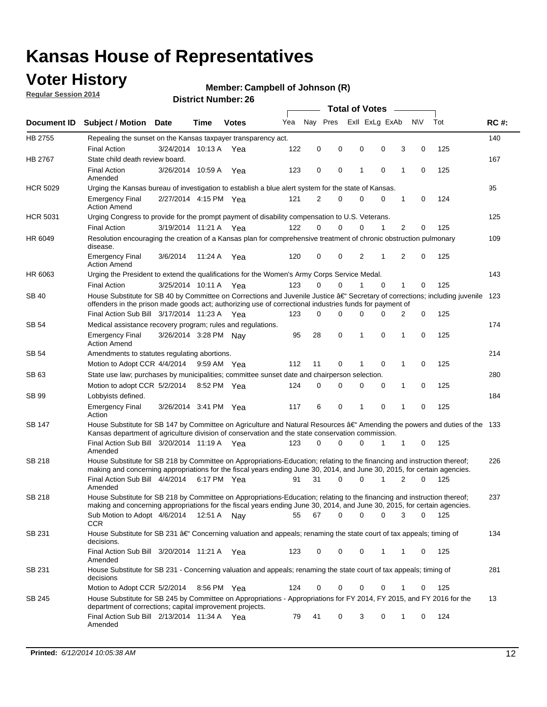## **Voter History**

**Regular Session 2014**

#### **Member: Campbell of Johnson (R)**

|                 |                                                                                                                                                                                                                                                      |                       |             |              |     |          |             |   | <b>Total of Votes</b> |                |                     |                 |             |
|-----------------|------------------------------------------------------------------------------------------------------------------------------------------------------------------------------------------------------------------------------------------------------|-----------------------|-------------|--------------|-----|----------|-------------|---|-----------------------|----------------|---------------------|-----------------|-------------|
|                 | Document ID Subject / Motion Date                                                                                                                                                                                                                    |                       | Time        | <b>Votes</b> | Yea | Nav Pres |             |   |                       | Exll ExLg ExAb | N\V                 | Tot             | <b>RC#:</b> |
| HB 2755         | Repealing the sunset on the Kansas taxpayer transparency act.                                                                                                                                                                                        |                       |             |              |     |          |             |   |                       |                |                     |                 | 140         |
|                 | <b>Final Action</b>                                                                                                                                                                                                                                  | 3/24/2014 10:13 A     |             | Yea          | 122 | 0        | 0           | 0 |                       | 0              | 3<br>0              | 125             |             |
| HB 2767         | State child death review board.                                                                                                                                                                                                                      |                       |             |              |     |          |             |   |                       |                |                     |                 | 167         |
|                 | <b>Final Action</b><br>Amended                                                                                                                                                                                                                       | 3/26/2014 10:59 A     |             | Yea          | 123 | 0        | 0           | 1 |                       | $\mathbf 0$    | 1<br>0              | 125             |             |
| <b>HCR 5029</b> | Urging the Kansas bureau of investigation to establish a blue alert system for the state of Kansas.                                                                                                                                                  |                       |             |              |     |          |             |   |                       |                |                     |                 | 95          |
|                 | <b>Emergency Final</b><br><b>Action Amend</b>                                                                                                                                                                                                        | 2/27/2014 4:15 PM Yea |             |              | 121 | 2        | 0           | 0 |                       | 0              | 1                   | 0<br>124        |             |
| <b>HCR 5031</b> | Urging Congress to provide for the prompt payment of disability compensation to U.S. Veterans.                                                                                                                                                       |                       |             |              |     |          |             |   |                       |                |                     |                 | 125         |
|                 | <b>Final Action</b>                                                                                                                                                                                                                                  | 3/19/2014 11:21 A Yea |             |              | 122 | $\Omega$ | 0           | 0 |                       | 1              | $\overline{2}$<br>0 | 125             |             |
| HR 6049         | Resolution encouraging the creation of a Kansas plan for comprehensive treatment of chronic obstruction pulmonary<br>disease.                                                                                                                        |                       |             |              |     |          |             |   |                       |                |                     |                 | 109         |
|                 | <b>Emergency Final</b><br><b>Action Amend</b>                                                                                                                                                                                                        | 3/6/2014              | 11:24 A     | Yea          | 120 | 0        | 0           | 2 |                       | 1              | 2                   | 0<br>125        |             |
| HR 6063         | Urging the President to extend the qualifications for the Women's Army Corps Service Medal.                                                                                                                                                          |                       |             |              |     |          |             |   |                       |                |                     |                 | 143         |
|                 | <b>Final Action</b>                                                                                                                                                                                                                                  | 3/25/2014 10:11 A Yea |             |              | 123 | $\Omega$ | $\Omega$    | 1 |                       | $\Omega$       | 1                   | 125<br>0        |             |
| <b>SB 40</b>    | House Substitute for SB 40 by Committee on Corrections and Juvenile Justice †Secretary of corrections; including juvenile<br>offenders in the prison made goods act; authorizing use of correctional industries funds for payment of                 |                       |             |              |     |          |             |   |                       |                |                     |                 | 123         |
|                 | Final Action Sub Bill 3/17/2014 11:23 A Yea                                                                                                                                                                                                          |                       |             |              | 123 | 0        | 0           | 0 |                       | $\Omega$       | 2                   | 0<br>125        |             |
| SB 54           | Medical assistance recovery program; rules and regulations.                                                                                                                                                                                          |                       |             |              |     |          |             |   |                       |                |                     |                 | 174         |
|                 | <b>Emergency Final</b><br><b>Action Amend</b>                                                                                                                                                                                                        | 3/26/2014 3:28 PM Nay |             |              | 95  | 28       | $\mathbf 0$ | 1 |                       | 0              | $\mathbf{1}$<br>0   | 125             |             |
| SB 54           | Amendments to statutes regulating abortions.                                                                                                                                                                                                         |                       |             |              |     |          |             |   |                       |                |                     |                 | 214         |
|                 | Motion to Adopt CCR 4/4/2014                                                                                                                                                                                                                         |                       | 9:59 AM Yea |              | 112 | 11       | 0           |   |                       | $\mathbf 0$    | 1                   | 125<br>0        |             |
| SB 63           | State use law; purchases by municipalities; committee sunset date and chairperson selection.                                                                                                                                                         |                       |             |              |     |          |             |   |                       |                |                     |                 | 280         |
|                 | Motion to adopt CCR 5/2/2014                                                                                                                                                                                                                         |                       | 8:52 PM Yea |              | 124 | 0        | 0           | 0 |                       | 0              | 1<br>0              | 125             |             |
| SB 99           | Lobbyists defined.                                                                                                                                                                                                                                   |                       |             |              |     |          |             |   |                       |                |                     |                 | 184         |
|                 | <b>Emergency Final</b><br>Action                                                                                                                                                                                                                     | 3/26/2014 3:41 PM Yea |             |              | 117 | 6        | 0           | 1 |                       | $\mathbf 0$    | 1<br>0              | 125             |             |
| SB 147          | House Substitute for SB 147 by Committee on Agriculture and Natural Resources †Amending the powers and duties of the 133<br>Kansas department of agriculture division of conservation and the state conservation commission.                         |                       |             |              |     |          |             |   |                       |                |                     |                 |             |
|                 | Final Action Sub Bill 3/20/2014 11:19 A Yea<br>Amended                                                                                                                                                                                               |                       |             |              | 123 | 0        | 0           | 0 |                       | 1              | 1                   | 125<br>0        |             |
| SB 218          | House Substitute for SB 218 by Committee on Appropriations-Education; relating to the financing and instruction thereof;<br>making and concerning appropriations for the fiscal years ending June 30, 2014, and June 30, 2015, for certain agencies. |                       |             |              |     |          |             |   |                       |                |                     |                 | 226         |
|                 | Final Action Sub Bill 4/4/2014<br>Amended                                                                                                                                                                                                            |                       | 6:17 PM Yea |              | 91  | 31       | $\Omega$    | 0 |                       | 1              | 2                   | $\Omega$<br>125 |             |
| SB 218          | House Substitute for SB 218 by Committee on Appropriations-Education; relating to the financing and instruction thereof;                                                                                                                             |                       |             |              |     |          |             |   |                       |                |                     |                 | 237         |
|                 | making and concerning appropriations for the fiscal years ending June 30, 2014, and June 30, 2015, for certain agencies.<br>Sub Motion to Adopt 4/6/2014 12:51 A Nay                                                                                 |                       |             |              | 55  | 67       | 0           | 0 |                       | 0              | 3                   | 0<br>125        |             |
| SB 231          | CCR<br>House Substitute for SB 231 †Concerning valuation and appeals; renaming the state court of tax appeals; timing of<br>decisions.                                                                                                               |                       |             |              |     |          |             |   |                       |                |                     |                 | 134         |
|                 | Final Action Sub Bill 3/20/2014 11:21 A Yea<br>Amended                                                                                                                                                                                               |                       |             |              | 123 | 0        | 0           | 0 |                       | 1              | 1                   | 125<br>0        |             |
| SB 231          | House Substitute for SB 231 - Concerning valuation and appeals; renaming the state court of tax appeals; timing of<br>decisions                                                                                                                      |                       |             |              |     |          |             |   |                       |                |                     |                 | 281         |
|                 | Motion to Adopt CCR 5/2/2014                                                                                                                                                                                                                         |                       | 8:56 PM Yea |              | 124 | 0        | 0           | 0 |                       | 0              | 1                   | 125<br>0        |             |
| SB 245          | House Substitute for SB 245 by Committee on Appropriations - Appropriations for FY 2014, FY 2015, and FY 2016 for the<br>department of corrections; capital improvement projects.                                                                    |                       |             |              |     |          |             |   |                       |                |                     |                 | 13          |
|                 | Final Action Sub Bill 2/13/2014 11:34 A Yea<br>Amended                                                                                                                                                                                               |                       |             |              | 79  | 41       | 0           | 3 |                       | 0              | 1                   | 124<br>0        |             |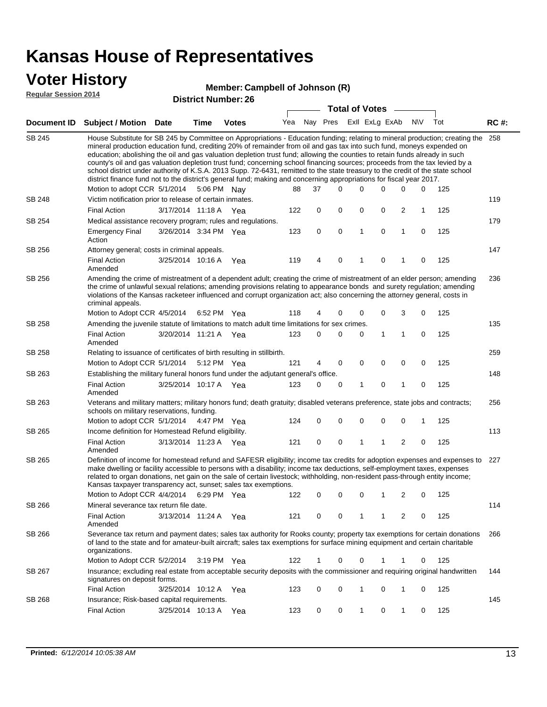### **Voter History**

#### **Regular Session 2014**

#### **Member: Campbell of Johnson (R)**

| District Number: 26 |  |
|---------------------|--|
|---------------------|--|

|               |                                                                                                                                                                                                                                                                                                                                                                                                                                                                                                                                                                                                                                                                                                                                                                                                               |                       |                       |     |             | <b>Total of Votes</b>   |   |             |                |             |     |             |
|---------------|---------------------------------------------------------------------------------------------------------------------------------------------------------------------------------------------------------------------------------------------------------------------------------------------------------------------------------------------------------------------------------------------------------------------------------------------------------------------------------------------------------------------------------------------------------------------------------------------------------------------------------------------------------------------------------------------------------------------------------------------------------------------------------------------------------------|-----------------------|-----------------------|-----|-------------|-------------------------|---|-------------|----------------|-------------|-----|-------------|
|               | Document ID Subject / Motion Date                                                                                                                                                                                                                                                                                                                                                                                                                                                                                                                                                                                                                                                                                                                                                                             | Time                  | <b>Votes</b>          | Yea |             | Nay Pres ExII ExLg ExAb |   |             |                | N\V         | Tot | <b>RC#:</b> |
| SB 245        | House Substitute for SB 245 by Committee on Appropriations - Education funding; relating to mineral production; creating the<br>mineral production education fund, crediting 20% of remainder from oil and gas tax into such fund, moneys expended on<br>education; abolishing the oil and gas valuation depletion trust fund; allowing the counties to retain funds already in such<br>county's oil and gas valuation depletion trust fund; concerning school financing sources; proceeds from the tax levied by a<br>school district under authority of K.S.A. 2013 Supp. 72-6431, remitted to the state treasury to the credit of the state school<br>district finance fund not to the district's general fund; making and concerning appropriations for fiscal year 2017.<br>Motion to adopt CCR 5/1/2014 |                       | 5:06 PM Nay           | 88  | 37          | $\Omega$                | 0 | 0           | 0              | 0           | 125 | 258         |
| <b>SB 248</b> | Victim notification prior to release of certain inmates.                                                                                                                                                                                                                                                                                                                                                                                                                                                                                                                                                                                                                                                                                                                                                      |                       |                       |     |             |                         |   |             |                |             |     | 119         |
|               | <b>Final Action</b>                                                                                                                                                                                                                                                                                                                                                                                                                                                                                                                                                                                                                                                                                                                                                                                           | 3/17/2014 11:18 A     | Yea                   | 122 | 0           | 0                       | 0 | 0           | $\overline{c}$ | 1           | 125 |             |
| SB 254        | Medical assistance recovery program; rules and regulations.                                                                                                                                                                                                                                                                                                                                                                                                                                                                                                                                                                                                                                                                                                                                                   |                       |                       |     |             |                         |   |             |                |             |     | 179         |
|               | <b>Emergency Final</b><br>Action                                                                                                                                                                                                                                                                                                                                                                                                                                                                                                                                                                                                                                                                                                                                                                              | 3/26/2014 3:34 PM Yea |                       | 123 | $\mathbf 0$ | 0                       | 1 | $\mathbf 0$ | $\mathbf{1}$   | 0           | 125 |             |
| SB 256        | Attorney general; costs in criminal appeals.                                                                                                                                                                                                                                                                                                                                                                                                                                                                                                                                                                                                                                                                                                                                                                  |                       |                       |     |             |                         |   |             |                |             |     | 147         |
|               | <b>Final Action</b><br>Amended                                                                                                                                                                                                                                                                                                                                                                                                                                                                                                                                                                                                                                                                                                                                                                                | 3/25/2014 10:16 A     | Yea                   | 119 | 4           | $\mathbf 0$             | 1 | $\mathbf 0$ | 1              | $\mathbf 0$ | 125 |             |
| SB 256        | Amending the crime of mistreatment of a dependent adult; creating the crime of mistreatment of an elder person; amending<br>the crime of unlawful sexual relations; amending provisions relating to appearance bonds and surety regulation; amending<br>violations of the Kansas racketeer influenced and corrupt organization act; also concerning the attorney general, costs in<br>criminal appeals.                                                                                                                                                                                                                                                                                                                                                                                                       |                       |                       |     |             |                         |   |             |                |             |     | 236         |
|               | Motion to Adopt CCR 4/5/2014                                                                                                                                                                                                                                                                                                                                                                                                                                                                                                                                                                                                                                                                                                                                                                                  |                       | 6:52 PM Yea           | 118 | 4           | 0                       | 0 | 0           | 3              | 0           | 125 |             |
| <b>SB 258</b> | Amending the juvenile statute of limitations to match adult time limitations for sex crimes.                                                                                                                                                                                                                                                                                                                                                                                                                                                                                                                                                                                                                                                                                                                  |                       |                       |     |             |                         |   |             |                |             |     | 135         |
|               | <b>Final Action</b><br>Amended                                                                                                                                                                                                                                                                                                                                                                                                                                                                                                                                                                                                                                                                                                                                                                                | 3/20/2014 11:21 A Yea |                       | 123 | 0           | $\mathbf 0$             | 0 | 1           | $\mathbf{1}$   | 0           | 125 |             |
| <b>SB 258</b> | Relating to issuance of certificates of birth resulting in stillbirth.                                                                                                                                                                                                                                                                                                                                                                                                                                                                                                                                                                                                                                                                                                                                        |                       |                       |     |             |                         |   |             |                |             |     | 259         |
|               | Motion to Adopt CCR 5/1/2014                                                                                                                                                                                                                                                                                                                                                                                                                                                                                                                                                                                                                                                                                                                                                                                  |                       | 5:12 PM Yea           | 121 | 4           | 0                       | 0 | 0           | 0              | 0           | 125 |             |
| SB 263        | Establishing the military funeral honors fund under the adjutant general's office.<br><b>Final Action</b>                                                                                                                                                                                                                                                                                                                                                                                                                                                                                                                                                                                                                                                                                                     | 3/25/2014 10:17 A Yea |                       | 123 | 0           | 0                       | 1 | 0           | $\mathbf{1}$   | 0           | 125 | 148         |
|               | Amended                                                                                                                                                                                                                                                                                                                                                                                                                                                                                                                                                                                                                                                                                                                                                                                                       |                       |                       |     |             |                         |   |             |                |             |     |             |
| SB 263        | Veterans and military matters; military honors fund; death gratuity; disabled veterans preference, state jobs and contracts;<br>schools on military reservations, funding.                                                                                                                                                                                                                                                                                                                                                                                                                                                                                                                                                                                                                                    |                       |                       |     |             |                         |   |             |                |             |     | 256         |
|               | Motion to adopt CCR 5/1/2014                                                                                                                                                                                                                                                                                                                                                                                                                                                                                                                                                                                                                                                                                                                                                                                  |                       | 4:47 PM Yea           | 124 | 0           | 0                       | 0 | 0           | 0              | 1           | 125 |             |
| SB 265        | Income definition for Homestead Refund eligibility.                                                                                                                                                                                                                                                                                                                                                                                                                                                                                                                                                                                                                                                                                                                                                           |                       |                       |     |             |                         |   |             |                |             | 125 | 113         |
|               | <b>Final Action</b><br>Amended                                                                                                                                                                                                                                                                                                                                                                                                                                                                                                                                                                                                                                                                                                                                                                                | 3/13/2014 11:23 A Yea |                       | 121 | 0           | 0                       | 1 | 1           | 2              | 0           |     |             |
| SB 265        | Definition of income for homestead refund and SAFESR eligibility; income tax credits for adoption expenses and expenses to<br>make dwelling or facility accessible to persons with a disability; income tax deductions, self-employment taxes, expenses<br>related to organ donations, net gain on the sale of certain livestock; withholding, non-resident pass-through entity income;<br>Kansas taxpayer transparency act, sunset; sales tax exemptions.                                                                                                                                                                                                                                                                                                                                                    |                       |                       |     |             |                         |   |             |                |             |     | 227         |
|               | Motion to Adopt CCR 4/4/2014                                                                                                                                                                                                                                                                                                                                                                                                                                                                                                                                                                                                                                                                                                                                                                                  |                       | 6:29 PM Yea           | 122 | 0           | $\mathbf 0$             | 0 | 1           | 2              | 0           | 125 |             |
| SB 266        | Mineral severance tax return file date.                                                                                                                                                                                                                                                                                                                                                                                                                                                                                                                                                                                                                                                                                                                                                                       |                       |                       |     |             |                         |   |             |                |             |     | 114         |
|               | <b>Final Action</b><br>Amended                                                                                                                                                                                                                                                                                                                                                                                                                                                                                                                                                                                                                                                                                                                                                                                | 3/13/2014 11:24 A     | Yea                   | 121 | 0           | 0                       | 1 | 1           | 2              | 0           | 125 |             |
| SB 266        | Severance tax return and payment dates; sales tax authority for Rooks county; property tax exemptions for certain donations<br>of land to the state and for amateur-built aircraft; sales tax exemptions for surface mining equipment and certain charitable<br>organizations.                                                                                                                                                                                                                                                                                                                                                                                                                                                                                                                                |                       |                       |     |             |                         |   |             |                |             |     | 266         |
|               | Motion to Adopt CCR 5/2/2014                                                                                                                                                                                                                                                                                                                                                                                                                                                                                                                                                                                                                                                                                                                                                                                  |                       | $3:19 \text{ PM}$ Yea | 122 | 1           | 0                       | 0 | 1           | 1              | 0           | 125 |             |
| SB 267        | Insurance; excluding real estate from acceptable security deposits with the commissioner and requiring original handwritten<br>signatures on deposit forms.                                                                                                                                                                                                                                                                                                                                                                                                                                                                                                                                                                                                                                                   |                       |                       |     |             |                         |   |             |                |             |     | 144         |
|               | <b>Final Action</b>                                                                                                                                                                                                                                                                                                                                                                                                                                                                                                                                                                                                                                                                                                                                                                                           | 3/25/2014 10:12 A     | Yea                   | 123 | 0           | 0                       | 1 | 0           | 1              | 0           | 125 |             |
| SB 268        | Insurance; Risk-based capital requirements.                                                                                                                                                                                                                                                                                                                                                                                                                                                                                                                                                                                                                                                                                                                                                                   |                       |                       |     |             |                         |   |             |                |             |     | 145         |
|               | <b>Final Action</b>                                                                                                                                                                                                                                                                                                                                                                                                                                                                                                                                                                                                                                                                                                                                                                                           | 3/25/2014 10:13 A Yea |                       | 123 | 0           | 0                       | 1 | 0           | 1              | 0           | 125 |             |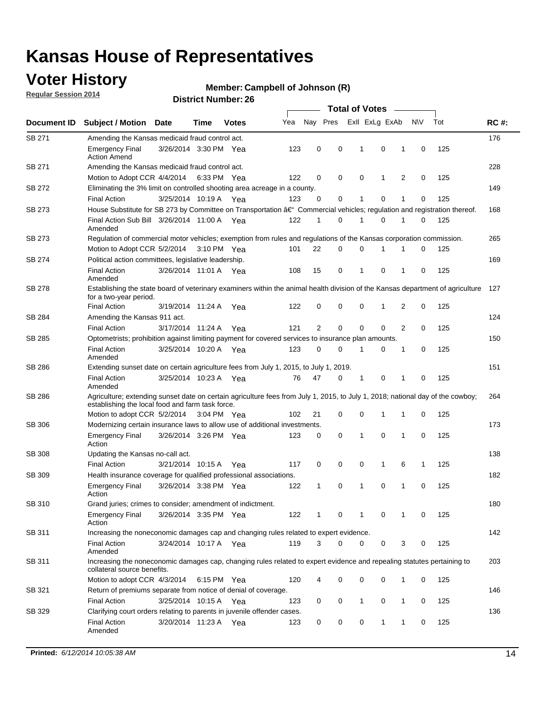## **Voter History**

**Regular Session 2014**

#### **Member: Campbell of Johnson (R)**

|               |                                                                                                                                                                                    |                       |      |              |     |          |             | <b>Total of Votes</b> |                |              |             |     |             |
|---------------|------------------------------------------------------------------------------------------------------------------------------------------------------------------------------------|-----------------------|------|--------------|-----|----------|-------------|-----------------------|----------------|--------------|-------------|-----|-------------|
| Document ID   | <b>Subject / Motion Date</b>                                                                                                                                                       |                       | Time | <b>Votes</b> | Yea | Nay Pres |             |                       | Exll ExLg ExAb |              | N\V         | Tot | <b>RC#:</b> |
| SB 271        | Amending the Kansas medicaid fraud control act.                                                                                                                                    |                       |      |              |     |          |             |                       |                |              |             |     | 176         |
|               | <b>Emergency Final</b><br><b>Action Amend</b>                                                                                                                                      | 3/26/2014 3:30 PM Yea |      |              | 123 | 0        | 0           | 1                     | $\mathbf 0$    | 1            | $\mathbf 0$ | 125 |             |
| SB 271        | Amending the Kansas medicaid fraud control act.                                                                                                                                    |                       |      |              |     |          |             |                       |                |              |             |     | 228         |
|               | Motion to Adopt CCR 4/4/2014 6:33 PM Yea                                                                                                                                           |                       |      |              | 122 | 0        | 0           | 0                     | 1              | 2            | $\mathbf 0$ | 125 |             |
| SB 272        | Eliminating the 3% limit on controlled shooting area acreage in a county.                                                                                                          |                       |      |              |     |          |             |                       |                |              |             |     | 149         |
|               | <b>Final Action</b>                                                                                                                                                                | 3/25/2014 10:19 A Yea |      |              | 123 | 0        | 0           | 1                     | 0              | 1            | $\mathbf 0$ | 125 |             |
| SB 273        | House Substitute for SB 273 by Committee on Transportation †Commercial vehicles; regulation and registration thereof.                                                              |                       |      |              |     |          |             |                       |                |              |             |     | 168         |
|               | Final Action Sub Bill 3/26/2014 11:00 A Yea<br>Amended                                                                                                                             |                       |      |              | 122 | 1        | 0           | 1                     | $\mathbf 0$    | 1            | 0           | 125 |             |
| SB 273        | Regulation of commercial motor vehicles; exemption from rules and regulations of the Kansas corporation commission.                                                                |                       |      |              |     |          |             |                       |                |              |             |     | 265         |
|               | Motion to Adopt CCR 5/2/2014 3:10 PM Yea                                                                                                                                           |                       |      |              | 101 | 22       | 0           | 0                     | 1              | 1            | 0           | 125 |             |
| SB 274        | Political action committees, legislative leadership.                                                                                                                               |                       |      |              |     |          |             |                       |                |              |             |     | 169         |
|               | <b>Final Action</b><br>Amended                                                                                                                                                     | 3/26/2014 11:01 A Yea |      |              | 108 | 15       | 0           | 1                     | $\mathbf 0$    | 1            | $\mathbf 0$ | 125 |             |
| SB 278        | Establishing the state board of veterinary examiners within the animal health division of the Kansas department of agriculture<br>for a two-year period.                           |                       |      |              |     |          |             |                       |                |              |             |     | 127         |
|               | <b>Final Action</b>                                                                                                                                                                | 3/19/2014 11:24 A     |      | Yea          | 122 | 0        | 0           | 0                     | 1              | 2            | 0           | 125 |             |
| SB 284        | Amending the Kansas 911 act.                                                                                                                                                       |                       |      |              |     |          |             |                       |                |              |             |     | 124         |
|               | <b>Final Action</b>                                                                                                                                                                | 3/17/2014 11:24 A     |      | Yea          | 121 | 2        | $\mathbf 0$ | $\mathbf 0$           | $\mathbf 0$    | 2            | 0           | 125 |             |
| SB 285        | Optometrists; prohibition against limiting payment for covered services to insurance plan amounts.                                                                                 |                       |      |              |     |          |             |                       |                |              |             |     | 150         |
|               | <b>Final Action</b><br>Amended                                                                                                                                                     | 3/25/2014 10:20 A Yea |      |              | 123 | 0        | 0           | 1                     | 0              | 1            | 0           | 125 |             |
| SB 286        | Extending sunset date on certain agriculture fees from July 1, 2015, to July 1, 2019.                                                                                              |                       |      |              |     |          |             |                       |                |              |             |     | 151         |
|               | <b>Final Action</b><br>Amended                                                                                                                                                     | 3/25/2014 10:23 A Yea |      |              | 76  | 47       | 0           | 1                     | 0              | 1            | 0           | 125 |             |
| SB 286        | Agriculture; extending sunset date on certain agriculture fees from July 1, 2015, to July 1, 2018; national day of the cowboy;<br>establishing the local food and farm task force. |                       |      |              |     |          |             |                       |                |              |             |     | 264         |
|               | Motion to adopt CCR 5/2/2014 3:04 PM Yea                                                                                                                                           |                       |      |              | 102 | 21       | 0           | $\mathbf 0$           | 1              | 1            | 0           | 125 |             |
| SB 306        | Modernizing certain insurance laws to allow use of additional investments.                                                                                                         |                       |      |              |     |          |             |                       |                |              |             |     | 173         |
|               | <b>Emergency Final</b><br>Action                                                                                                                                                   | 3/26/2014 3:26 PM Yea |      |              | 123 | 0        | 0           | 1                     | $\mathbf 0$    | 1            | $\mathbf 0$ | 125 |             |
| <b>SB 308</b> | Updating the Kansas no-call act.                                                                                                                                                   |                       |      |              |     |          |             |                       |                |              |             |     | 138         |
|               | <b>Final Action</b>                                                                                                                                                                | 3/21/2014 10:15 A     |      | Yea          | 117 | 0        | 0           | $\mathbf 0$           | 1              | 6            | 1           | 125 |             |
| SB 309        | Health insurance coverage for qualified professional associations.                                                                                                                 |                       |      |              |     |          |             |                       |                |              |             |     | 182         |
|               | <b>Emergency Final</b><br>Action                                                                                                                                                   | 3/26/2014 3:38 PM Yea |      |              | 122 | 1        | 0           | 1                     | $\mathbf 0$    | 1            | $\mathbf 0$ | 125 |             |
| SB 310        | Grand juries; crimes to consider; amendment of indictment.                                                                                                                         |                       |      |              |     |          |             |                       |                |              |             |     | 180         |
|               | <b>Emergency Final</b><br>Action                                                                                                                                                   | 3/26/2014 3:35 PM Yea |      |              | 122 | 1        | 0           | 1                     | 0              | 1            | 0           | 125 |             |
| SB 311        | Increasing the noneconomic damages cap and changing rules related to expert evidence.                                                                                              |                       |      |              |     |          |             |                       |                |              |             |     | 142         |
|               | <b>Final Action</b><br>Amended                                                                                                                                                     | 3/24/2014 10:17 A Yea |      |              | 119 | 3        | $\Omega$    | 0                     | 0              | 3            | 0           | 125 |             |
| SB 311        | Increasing the noneconomic damages cap, changing rules related to expert evidence and repealing statutes pertaining to<br>collateral source benefits.                              |                       |      |              |     |          |             |                       |                |              |             |     | 203         |
|               | Motion to adopt CCR 4/3/2014 6:15 PM Yea                                                                                                                                           |                       |      |              | 120 | 4        | 0           | 0                     | 0              | 1            | 0           | 125 |             |
| SB 321        | Return of premiums separate from notice of denial of coverage.                                                                                                                     |                       |      |              |     |          |             |                       |                |              |             |     | 146         |
|               | <b>Final Action</b>                                                                                                                                                                | 3/25/2014 10:15 A Yea |      |              | 123 | 0        | 0           | $\mathbf{1}$          | 0              | $\mathbf{1}$ | 0           | 125 |             |
| SB 329        | Clarifying court orders relating to parents in juvenile offender cases.                                                                                                            |                       |      |              |     |          |             |                       |                |              |             |     | 136         |
|               | <b>Final Action</b><br>Amended                                                                                                                                                     | 3/20/2014 11:23 A Yea |      |              | 123 | 0        | 0           | 0                     | 1              | 1            | 0           | 125 |             |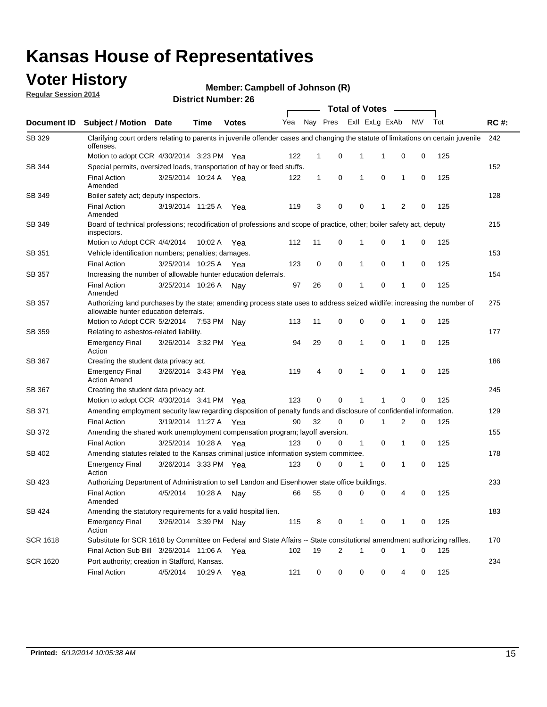### **Voter History**

**Regular Session 2014**

**Member: Campbell of Johnson (R)** 

|                 |                                                                                                                                                                    |                       |             |              |     |          |   | <b>Total of Votes</b> |             |              |             |     |             |
|-----------------|--------------------------------------------------------------------------------------------------------------------------------------------------------------------|-----------------------|-------------|--------------|-----|----------|---|-----------------------|-------------|--------------|-------------|-----|-------------|
| Document ID     | <b>Subject / Motion</b>                                                                                                                                            | Date                  | <b>Time</b> | <b>Votes</b> | Yea | Nay Pres |   | Exll ExLg ExAb        |             |              | N\V         | Tot | <b>RC#:</b> |
| SB 329          | Clarifying court orders relating to parents in juvenile offender cases and changing the statute of limitations on certain juvenile<br>offenses.                    |                       |             |              |     |          |   |                       |             |              |             |     | 242         |
|                 | Motion to adopt CCR 4/30/2014 3:23 PM Yea                                                                                                                          |                       |             |              | 122 | 1        | 0 | 1                     | 1           | 0            | 0           | 125 |             |
| SB 344          | Special permits, oversized loads, transportation of hay or feed stuffs.                                                                                            |                       |             |              |     |          |   |                       |             |              |             |     | 152         |
|                 | <b>Final Action</b><br>Amended                                                                                                                                     | 3/25/2014 10:24 A     |             | Yea          | 122 | 1        | 0 | 1                     | 0           | $\mathbf{1}$ | 0           | 125 |             |
| SB 349          | Boiler safety act; deputy inspectors.                                                                                                                              |                       |             |              |     |          |   |                       |             |              |             |     | 128         |
|                 | <b>Final Action</b><br>Amended                                                                                                                                     | 3/19/2014 11:25 A     |             | Yea          | 119 | 3        | 0 | 0                     | 1           | 2            | 0           | 125 |             |
| SB 349          | Board of technical professions; recodification of professions and scope of practice, other; boiler safety act, deputy<br>inspectors.                               |                       |             |              |     |          |   |                       |             |              |             |     | 215         |
|                 | Motion to Adopt CCR 4/4/2014                                                                                                                                       |                       | 10:02 A     | Yea          | 112 | 11       | 0 | 1                     | $\mathbf 0$ | 1            | 0           | 125 |             |
| SB 351          | Vehicle identification numbers; penalties; damages.                                                                                                                |                       |             |              |     |          |   |                       |             |              |             |     | 153         |
|                 | <b>Final Action</b>                                                                                                                                                | 3/25/2014 10:25 A     |             | Yea          | 123 | 0        | 0 | 1                     | 0           | $\mathbf{1}$ | 0           | 125 |             |
| SB 357          | Increasing the number of allowable hunter education deferrals.                                                                                                     |                       |             |              |     |          |   |                       |             |              |             |     | 154         |
|                 | <b>Final Action</b><br>Amended                                                                                                                                     | 3/25/2014 10:26 A     |             | Nav          | 97  | 26       | 0 | 1                     | $\mathbf 0$ | 1            | 0           | 125 |             |
| SB 357          | Authorizing land purchases by the state; amending process state uses to address seized wildlife; increasing the number of<br>allowable hunter education deferrals. |                       |             |              |     |          |   |                       |             |              |             |     | 275         |
|                 | Motion to Adopt CCR 5/2/2014                                                                                                                                       |                       | 7:53 PM     | Nav          | 113 | 11       | 0 | 0                     | 0           | -1           | 0           | 125 |             |
| SB 359          | Relating to asbestos-related liability.                                                                                                                            |                       |             |              |     |          |   |                       |             |              |             |     | 177         |
|                 | <b>Emergency Final</b><br>Action                                                                                                                                   | 3/26/2014 3:32 PM Yea |             |              | 94  | 29       | 0 | 1                     | 0           | -1           | 0           | 125 |             |
| SB 367          | Creating the student data privacy act.                                                                                                                             |                       |             |              |     |          |   |                       |             |              |             |     | 186         |
|                 | <b>Emergency Final</b><br><b>Action Amend</b>                                                                                                                      | 3/26/2014 3:43 PM Yea |             |              | 119 | 4        | 0 | 1                     | 0           | $\mathbf{1}$ | $\mathbf 0$ | 125 |             |
| SB 367          | Creating the student data privacy act.                                                                                                                             |                       |             |              |     |          |   |                       |             |              |             |     | 245         |
|                 | Motion to adopt CCR 4/30/2014 3:41 PM Yea                                                                                                                          |                       |             |              | 123 | 0        | 0 | 1                     | 1           | $\mathbf 0$  | 0           | 125 |             |
| SB 371          | Amending employment security law regarding disposition of penalty funds and disclosure of confidential information.                                                |                       |             |              |     |          |   |                       |             |              |             |     | 129         |
|                 | <b>Final Action</b>                                                                                                                                                | 3/19/2014 11:27 A Yea |             |              | 90  | 32       | 0 | 0                     | 1           | 2            | 0           | 125 |             |
| SB 372          | Amending the shared work unemployment compensation program; layoff aversion.                                                                                       |                       |             |              |     |          |   |                       |             |              |             |     | 155         |
|                 | <b>Final Action</b>                                                                                                                                                | 3/25/2014 10:28 A     |             | Yea          | 123 | 0        | 0 | $\mathbf{1}$          | 0           | 1            | 0           | 125 |             |
| SB 402          | Amending statutes related to the Kansas criminal justice information system committee.                                                                             |                       |             |              |     |          |   |                       |             |              |             |     | 178         |
|                 | <b>Emergency Final</b><br>Action                                                                                                                                   | 3/26/2014 3:33 PM Yea |             |              | 123 | 0        | 0 | 1                     | 0           | $\mathbf{1}$ | 0           | 125 |             |
| SB 423          | Authorizing Department of Administration to sell Landon and Eisenhower state office buildings.                                                                     |                       |             |              |     |          |   |                       |             |              |             |     | 233         |
|                 | <b>Final Action</b><br>Amended                                                                                                                                     | 4/5/2014              | 10:28 A     | Nav          | 66  | 55       | 0 | 0                     | 0           | 4            | 0           | 125 |             |
| SB 424          | Amending the statutory requirements for a valid hospital lien.                                                                                                     |                       |             |              |     |          |   |                       |             |              |             |     | 183         |
|                 | <b>Emergency Final</b><br>Action                                                                                                                                   | 3/26/2014 3:39 PM Nav |             |              | 115 | 8        | 0 | 1                     | 0           | 1            | 0           | 125 |             |
| <b>SCR 1618</b> | Substitute for SCR 1618 by Committee on Federal and State Affairs -- State constitutional amendment authorizing raffles.                                           |                       |             |              |     |          |   |                       |             |              |             |     | 170         |
|                 | Final Action Sub Bill 3/26/2014 11:06 A Yea                                                                                                                        |                       |             |              | 102 | 19       | 2 | 1                     | 0           | 1            | 0           | 125 |             |
| <b>SCR 1620</b> | Port authority; creation in Stafford, Kansas.                                                                                                                      |                       |             |              |     |          |   |                       |             |              |             |     | 234         |
|                 | <b>Final Action</b>                                                                                                                                                | 4/5/2014              | 10:29 A     | Yea          | 121 | 0        | 0 | 0                     | 0           | 4            | 0           | 125 |             |